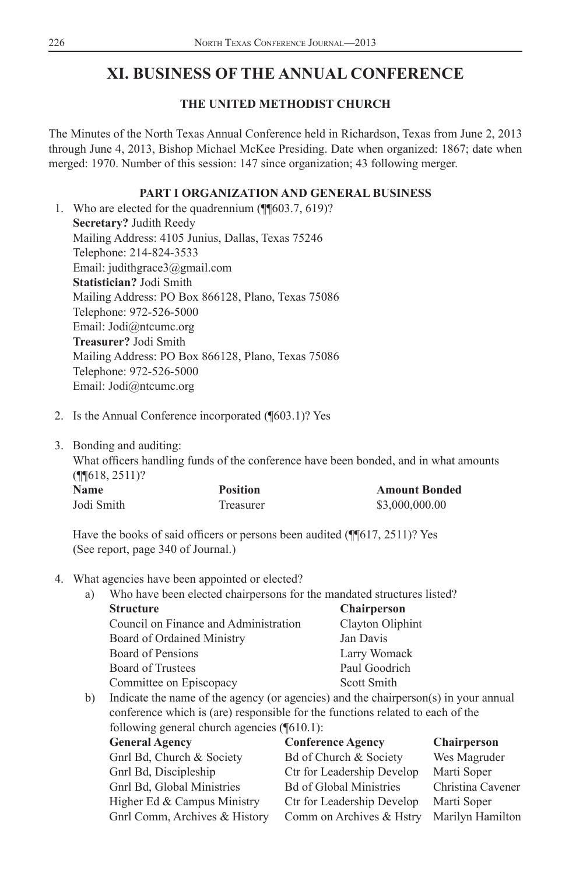# **XI. BUSINESS OF THE ANNUAL CONFERENCE**

#### **THE UNITED METHODIST CHURCH**

The Minutes of the North Texas Annual Conference held in Richardson, Texas from June 2, 2013 through June 4, 2013, Bishop Michael McKee Presiding. Date when organized: 1867; date when merged: 1970. Number of this session: 147 since organization; 43 following merger.

#### **PART I ORGANIZATION AND GENERAL BUSINESS**

 1. Who are elected for the quadrennium (¶¶603.7, 619)? **Secretary?** Judith Reedy Mailing Address: 4105 Junius, Dallas, Texas 75246 Telephone: 214-824-3533 Email: judithgrace3@gmail.com **Statistician?** Jodi Smith Mailing Address: PO Box 866128, Plano, Texas 75086 Telephone: 972-526-5000 Email: Jodi@ntcumc.org **Treasurer?** Jodi Smith Mailing Address: PO Box 866128, Plano, Texas 75086 Telephone: 972-526-5000 Email: Jodi@ntcumc.org

- 2. Is the Annual Conference incorporated (¶603.1)? Yes
- 3. Bonding and auditing:

What officers handling funds of the conference have been bonded, and in what amounts (¶¶618, 2511)?

| <b>Name</b> | <b>Position</b> | <b>Amount Bonded</b> |
|-------------|-----------------|----------------------|
| Jodi Smith  | Treasurer       | \$3,000,000,00       |

Have the books of said officers or persons been audited  $(\P \| 617, 2511)$ ? Yes (See report, page 340 of Journal.)

#### 4. What agencies have been appointed or elected?

a) Who have been elected chairpersons for the mandated structures listed? **Structure Chairperson** Council on Finance and Administration Clayton Oliphint

| Board of Ordained Ministry                                                                                                                                                                                                              |  | Jan Davis                                        |
|-----------------------------------------------------------------------------------------------------------------------------------------------------------------------------------------------------------------------------------------|--|--------------------------------------------------|
| Board of Pensions                                                                                                                                                                                                                       |  | Larry Womack                                     |
| Board of Trustees                                                                                                                                                                                                                       |  | Paul Goodrich                                    |
| Committee on Episcopacy                                                                                                                                                                                                                 |  | Scott Smith                                      |
| $\mathbf{v} = \mathbf{v}$ . The contract of the contract of the contract of the contract of the contract of the contract of the contract of the contract of the contract of the contract of the contract of the contract of the contrac |  | $\sim$ $\sim$ $\sim$ $\sim$ $\sim$ $\sim$ $\sim$ |

b) Indicate the name of the agency (or agencies) and the chairperson(s) in your annual conference which is (are) responsible for the functions related to each of the following general church agencies (¶610.1):

| <b>General Agency</b>         | <b>Conference Agency</b>       | <b>Chairperson</b> |
|-------------------------------|--------------------------------|--------------------|
| Gnrl Bd, Church & Society     | Bd of Church & Society         | Wes Magruder       |
| Gnrl Bd, Discipleship         | Ctr for Leadership Develop     | Marti Soper        |
| Gnrl Bd, Global Ministries    | <b>Bd of Global Ministries</b> | Christina Cavener  |
| Higher Ed & Campus Ministry   | Ctr for Leadership Develop     | Marti Soper        |
| Gnrl Comm, Archives & History | Comm on Archives & Hstry       | Marilyn Hamilton   |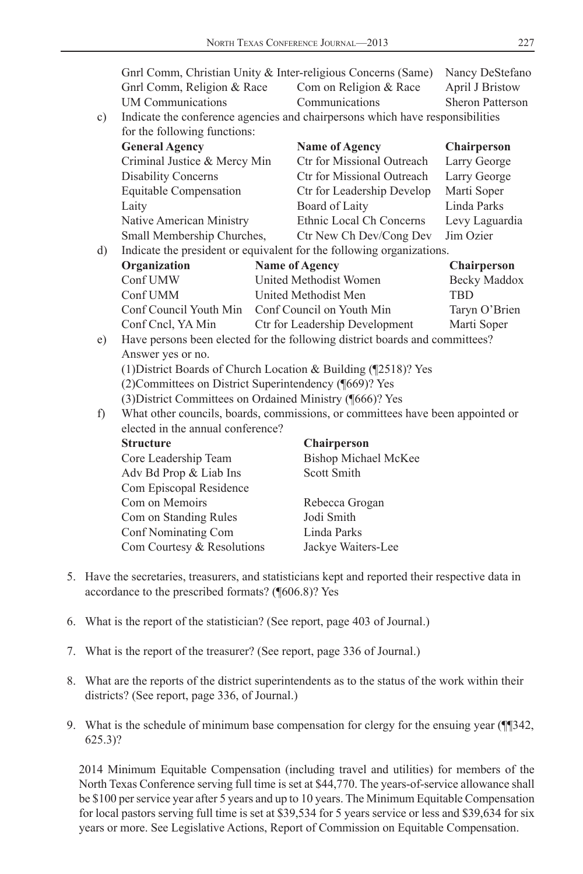Gnrl Comm, Christian Unity & Inter-religious Concerns (Same) Nancy DeStefano Gnrl Comm, Religion & Race Com on Religion & Race April J Bristow UM Communications Communications Sheron Patterson c) Indicate the conference agencies and chairpersons which have responsibilities for the following functions:  **General Agency Name of Agency Chairperson** Criminal Justice & Mercy Min Ctr for Missional Outreach Larry George Disability Concerns Ctr for Missional Outreach Larry George Equitable Compensation Ctr for Leadership Develop Marti Soper Laity Board of Laity Linda Parks Native American Ministry Ethnic Local Ch Concerns Levy Laguardia Small Membership Churches, Ctr New Ch Dev/Cong Dev Jim Ozier d) Indicate the president or equivalent for the following organizations. **Organization** Name of Agency Chairperson Conf UMW United Methodist Women Becky Maddox Conf UMM United Methodist Men TBD Conf Council Youth Min Conf Council on Youth Min Taryn O'Brien Conf Cncl, YA Min Ctr for Leadership Development Marti Soper e) Have persons been elected for the following district boards and committees? Answer yes or no. (1) District Boards of Church Location & Building (¶2518)? Yes (2) Committees on District Superintendency (¶669)? Yes (3) District Committees on Ordained Ministry (¶666)? Yes f) What other councils, boards, commissions, or committees have been appointed or elected in the annual conference?  **Structure Chairperson** Core Leadership Team Bishop Michael McKee Adv Bd Prop & Liab Ins Scott Smith Com Episcopal Residence Com on Memoirs Rebecca Grogan Com on Standing Rules Jodi Smith Conf Nominating Com Linda Parks Com Courtesy & Resolutions Jackye Waiters-Lee

- 5. Have the secretaries, treasurers, and statisticians kept and reported their respective data in accordance to the prescribed formats? (¶606.8)? Yes
- 6. What is the report of the statistician? (See report, page 403 of Journal.)
- 7. What is the report of the treasurer? (See report, page 336 of Journal.)
- 8. What are the reports of the district superintendents as to the status of the work within their districts? (See report, page 336, of Journal.)
- 9. What is the schedule of minimum base compensation for clergy for the ensuing year (¶¶342, 625.3)?

 2014 Minimum Equitable Compensation (including travel and utilities) for members of the North Texas Conference serving full time is set at \$44,770. The years-of-service allowance shall be \$100 per service year after 5 years and up to 10 years. The Minimum Equitable Compensation for local pastors serving full time is set at \$39,534 for 5 years service or less and \$39,634 for six years or more. See Legislative Actions, Report of Commission on Equitable Compensation.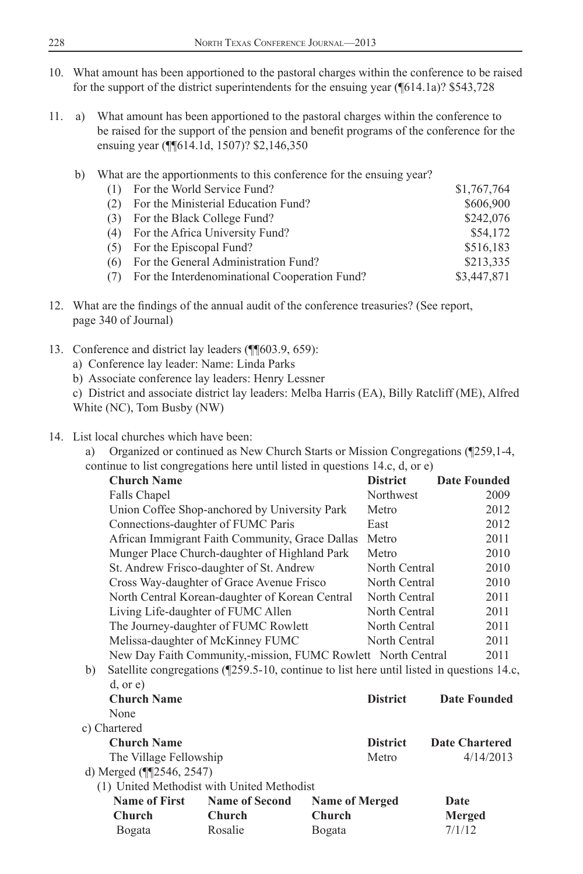- 10. What amount has been apportioned to the pastoral charges within the conference to be raised for the support of the district superintendents for the ensuing year (¶614.1a)? \$543,728
- 11. a) What amount has been apportioned to the pastoral charges within the conference to be raised for the support of the pension and benefit programs of the conference for the ensuing year (¶¶614.1d, 1507)? \$2,146,350
	- b) What are the apportionments to this conference for the ensuing year?

| (1) | For the World Service Fund?                   | \$1,767,764 |
|-----|-----------------------------------------------|-------------|
| (2) | For the Ministerial Education Fund?           | \$606,900   |
| (3) | For the Black College Fund?                   | \$242,076   |
|     | (4) For the Africa University Fund?           | \$54,172    |
| (5) | For the Episcopal Fund?                       | \$516.183   |
| (6) | For the General Administration Fund?          | \$213,335   |
|     | For the Interdenominational Cooperation Fund? | \$3,447,871 |

- 12. What are the findings of the annual audit of the conference treasuries? (See report, page 340 of Journal)
- 13. Conference and district lay leaders (¶¶603.9, 659):
	- a) Conference lay leader: Name: Linda Parks
	- b) Associate conference lay leaders: Henry Lessner
	- c) District and associate district lay leaders: Melba Harris (EA), Billy Ratcliff (ME), Alfred White (NC), Tom Busby (NW)

#### 14. List local churches which have been:

a) Organized or continued as New Church Starts or Mission Congregations (¶259,1-4, continue to list congregations here until listed in questions 14.c, d, or e)

|    | <b>Church Name</b>                   |                                                                                           |                       | <b>District</b> | <b>Date Founded</b>   |
|----|--------------------------------------|-------------------------------------------------------------------------------------------|-----------------------|-----------------|-----------------------|
|    | Falls Chapel                         |                                                                                           |                       | Northwest       | 2009                  |
|    |                                      | Union Coffee Shop-anchored by University Park                                             |                       | Metro           | 2012                  |
|    | Connections-daughter of FUMC Paris   |                                                                                           |                       | East            | 2012                  |
|    |                                      | African Immigrant Faith Community, Grace Dallas                                           |                       | Metro           | 2011                  |
|    |                                      | Munger Place Church-daughter of Highland Park                                             |                       | Metro           | 2010                  |
|    |                                      | St. Andrew Frisco-daughter of St. Andrew                                                  |                       | North Central   | 2010                  |
|    |                                      | Cross Way-daughter of Grace Avenue Frisco                                                 |                       | North Central   | 2010                  |
|    |                                      | North Central Korean-daughter of Korean Central                                           |                       | North Central   | 2011                  |
|    | Living Life-daughter of FUMC Allen   |                                                                                           |                       | North Central   | 2011                  |
|    | The Journey-daughter of FUMC Rowlett |                                                                                           |                       |                 | North Central<br>2011 |
|    |                                      | Melissa-daughter of McKinney FUMC                                                         |                       | North Central   | 2011                  |
|    |                                      | New Day Faith Community,-mission, FUMC Rowlett North Central                              |                       |                 | 2011                  |
| b) |                                      | Satellite congregations (¶259.5-10, continue to list here until listed in questions 14.c, |                       |                 |                       |
|    | $d,$ or $e)$                         |                                                                                           |                       |                 |                       |
|    | <b>Church Name</b>                   |                                                                                           |                       | <b>District</b> | <b>Date Founded</b>   |
|    | None                                 |                                                                                           |                       |                 |                       |
|    | c) Chartered                         |                                                                                           |                       |                 |                       |
|    | <b>Church Name</b>                   |                                                                                           |                       | <b>District</b> | <b>Date Chartered</b> |
|    | The Village Fellowship               |                                                                                           |                       | Metro           | 4/14/2013             |
|    | d) Merged (¶[2546, 2547)             |                                                                                           |                       |                 |                       |
|    |                                      | (1) United Methodist with United Methodist                                                |                       |                 |                       |
|    | <b>Name of First</b>                 | <b>Name of Second</b>                                                                     | <b>Name of Merged</b> |                 | Date                  |
|    | Church                               | Church                                                                                    | <b>Church</b>         |                 | Merged                |
|    | Bogata                               | Rosalie                                                                                   | Bogata                |                 | 7/1/12                |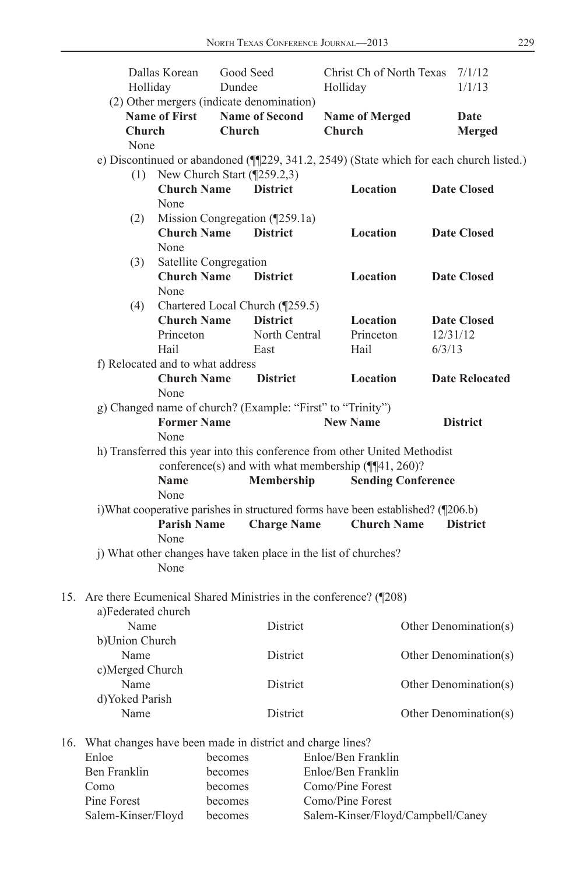|     | Holliday           | Dallas Korean                           | Dundee        | Good Seed                                                                       | Holliday      | Christ Ch of North Texas  | 7/1/12<br>1/1/13                                                                        |
|-----|--------------------|-----------------------------------------|---------------|---------------------------------------------------------------------------------|---------------|---------------------------|-----------------------------------------------------------------------------------------|
|     |                    |                                         |               | (2) Other mergers (indicate denomination)                                       |               |                           |                                                                                         |
|     |                    | <b>Name of First</b>                    |               | <b>Name of Second</b>                                                           |               | <b>Name of Merged</b>     | Date                                                                                    |
|     | <b>Church</b>      |                                         | <b>Church</b> |                                                                                 | <b>Church</b> |                           | <b>Merged</b>                                                                           |
|     | None               |                                         |               |                                                                                 |               |                           |                                                                                         |
|     |                    |                                         |               |                                                                                 |               |                           | e) Discontinued or abandoned (¶[229, 341.2, 2549) (State which for each church listed.) |
|     |                    | (1) New Church Start $(\sqrt{259.2,3})$ |               |                                                                                 |               |                           |                                                                                         |
|     |                    | <b>Church Name</b>                      |               | <b>District</b>                                                                 |               | Location                  | <b>Date Closed</b>                                                                      |
|     |                    | None                                    |               |                                                                                 |               |                           |                                                                                         |
|     | (2)                |                                         |               | Mission Congregation (¶259.1a)                                                  |               |                           |                                                                                         |
|     |                    | <b>Church Name</b>                      |               | <b>District</b>                                                                 |               | Location                  | <b>Date Closed</b>                                                                      |
|     |                    | None                                    |               |                                                                                 |               |                           |                                                                                         |
|     | (3)                | Satellite Congregation                  |               |                                                                                 |               |                           |                                                                                         |
|     |                    | <b>Church Name</b>                      |               | <b>District</b>                                                                 |               | Location                  | <b>Date Closed</b>                                                                      |
|     |                    | None                                    |               |                                                                                 |               |                           |                                                                                         |
|     | (4)                |                                         |               | Chartered Local Church (¶259.5)                                                 |               |                           |                                                                                         |
|     |                    | <b>Church Name</b>                      |               | <b>District</b>                                                                 |               | Location                  | <b>Date Closed</b>                                                                      |
|     |                    | Princeton                               |               | North Central                                                                   |               | Princeton                 | 12/31/12                                                                                |
|     |                    | Hail                                    |               | East                                                                            |               | Hail                      | 6/3/13                                                                                  |
|     |                    | f) Relocated and to what address        |               |                                                                                 |               |                           |                                                                                         |
|     |                    | <b>Church Name</b>                      |               | <b>District</b>                                                                 |               | Location                  | <b>Date Relocated</b>                                                                   |
|     |                    | None                                    |               |                                                                                 |               |                           |                                                                                         |
|     |                    |                                         |               | g) Changed name of church? (Example: "First" to "Trinity")                      |               |                           |                                                                                         |
|     |                    | <b>Former Name</b>                      |               |                                                                                 |               | <b>New Name</b>           | <b>District</b>                                                                         |
|     |                    | None                                    |               |                                                                                 |               |                           |                                                                                         |
|     |                    |                                         |               | h) Transferred this year into this conference from other United Methodist       |               |                           |                                                                                         |
|     |                    |                                         |               | conference(s) and with what membership $(\P\P 41, 260)$ ?                       |               |                           |                                                                                         |
|     |                    | <b>Name</b>                             |               | Membership                                                                      |               | <b>Sending Conference</b> |                                                                                         |
|     |                    | None                                    |               |                                                                                 |               |                           |                                                                                         |
|     |                    |                                         |               | i)What cooperative parishes in structured forms have been established? ([206.b) |               |                           |                                                                                         |
|     |                    | <b>Parish Name</b>                      |               | <b>Charge Name</b>                                                              |               | <b>Church Name</b>        | <b>District</b>                                                                         |
|     |                    | None                                    |               |                                                                                 |               |                           |                                                                                         |
|     |                    |                                         |               | j) What other changes have taken place in the list of churches?                 |               |                           |                                                                                         |
|     |                    | None                                    |               |                                                                                 |               |                           |                                                                                         |
|     |                    |                                         |               |                                                                                 |               |                           |                                                                                         |
|     |                    |                                         |               | 15. Are there Ecumenical Shared Ministries in the conference? (¶208)            |               |                           |                                                                                         |
|     | a)Federated church |                                         |               |                                                                                 |               |                           |                                                                                         |
|     | Name               |                                         |               | <b>District</b>                                                                 |               |                           | Other Denomination(s)                                                                   |
|     | b)Union Church     |                                         |               |                                                                                 |               |                           |                                                                                         |
|     | Name               |                                         |               | District                                                                        |               |                           | Other Denomination(s)                                                                   |
|     | c)Merged Church    |                                         |               |                                                                                 |               |                           |                                                                                         |
|     | Name               |                                         |               | District                                                                        |               |                           | Other Denomination(s)                                                                   |
|     | d)Yoked Parish     |                                         |               |                                                                                 |               |                           |                                                                                         |
|     | Name               |                                         |               | District                                                                        |               |                           | Other Denomination(s)                                                                   |
|     |                    |                                         |               |                                                                                 |               |                           |                                                                                         |
| 16. |                    |                                         |               | What changes have been made in district and charge lines?                       |               |                           |                                                                                         |
|     | Enloe              |                                         | becomes       |                                                                                 | $\sqrt{D}$ .  | Enloe/Ben Franklin<br>п.  |                                                                                         |

| Ben Franklin       | becomes | Enloe/Ben Franklin                |
|--------------------|---------|-----------------------------------|
| Como               | becomes | Como/Pine Forest                  |
| Pine Forest        | becomes | Como/Pine Forest                  |
| Salem-Kinser/Floyd | becomes | Salem-Kinser/Floyd/Campbell/Caney |
|                    |         |                                   |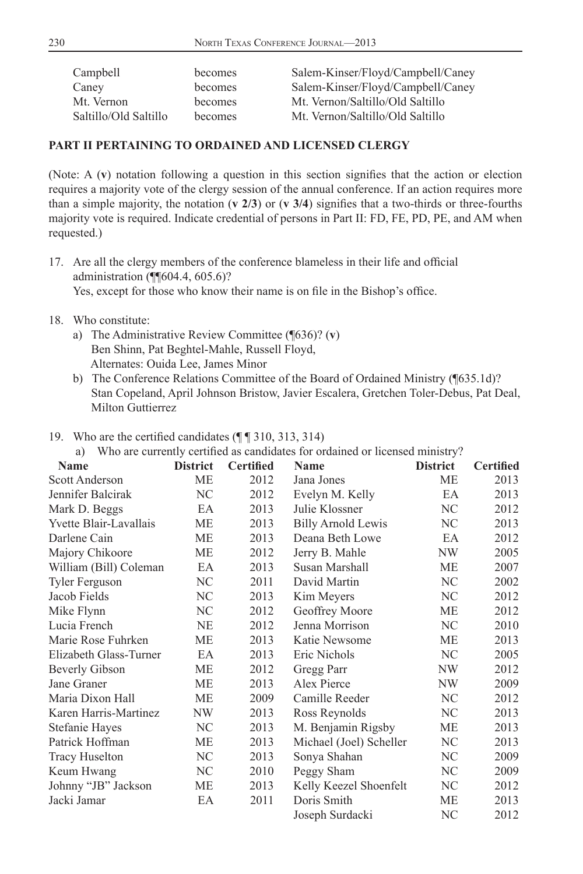| Campbell              | becomes | Salem-Kinser/Floyd/Campbell/Caney |
|-----------------------|---------|-----------------------------------|
| Caney                 | becomes | Salem-Kinser/Floyd/Campbell/Caney |
| Mt. Vernon            | becomes | Mt. Vernon/Saltillo/Old Saltillo  |
| Saltillo/Old Saltillo | becomes | Mt. Vernon/Saltillo/Old Saltillo  |
|                       |         |                                   |

#### **PART II PERTAINING TO ORDAINED AND LICENSED CLERGY**

(Note:  $A(v)$  notation following a question in this section signifies that the action or election requires a majority vote of the clergy session of the annual conference. If an action requires more than a simple majority, the notation  $(v \, 2/3)$  or  $(v \, 3/4)$  signifies that a two-thirds or three-fourths majority vote is required. Indicate credential of persons in Part II: FD, FE, PD, PE, and AM when requested.)

- 17. Are all the clergy members of the conference blameless in their life and official administration (¶¶604.4, 605.6)? Yes, except for those who know their name is on file in the Bishop's office.
- 18. Who constitute:
	- a) The Administrative Review Committee (¶636)? (**v**) Ben Shinn, Pat Beghtel-Mahle, Russell Floyd, Alternates: Ouida Lee, James Minor
	- b) The Conference Relations Committee of the Board of Ordained Ministry (¶635.1d)? Stan Copeland, April Johnson Bristow, Javier Escalera, Gretchen Toler-Debus, Pat Deal, Milton Guttierrez

#### 19. Who are the certified candidates  $(\P \P 310, 313, 314)$

a) Who are currently certified as candidates for ordained or licensed ministry?

| Name                   | <b>District</b> | <b>Certified</b> | $\cdots$ and we completely contained the complete set of the since $\alpha$ in the choice internet $\eta$ .<br>Name | <b>District</b> | <b>Certified</b> |
|------------------------|-----------------|------------------|---------------------------------------------------------------------------------------------------------------------|-----------------|------------------|
| <b>Scott Anderson</b>  | МE              | 2012             | Jana Jones                                                                                                          | МE              | 2013             |
| Jennifer Balcirak      | NC              | 2012             | Evelyn M. Kelly                                                                                                     | EA              | 2013             |
| Mark D. Beggs          | EA              | 2013             | Julie Klossner                                                                                                      | NC              | 2012             |
| Yvette Blair-Lavallais | МE              | 2013             | <b>Billy Arnold Lewis</b>                                                                                           | NC              | 2013             |
| Darlene Cain           | МE              | 2013             | Deana Beth Lowe                                                                                                     | EA              | 2012             |
| Majory Chikoore        | МE              | 2012             | Jerry B. Mahle                                                                                                      | NW              | 2005             |
| William (Bill) Coleman | EA              | 2013             | Susan Marshall                                                                                                      | МE              | 2007             |
| Tyler Ferguson         | NC              | 2011             | David Martin                                                                                                        | NC              | 2002             |
| Jacob Fields           | NC              | 2013             | Kim Meyers                                                                                                          | NC              | 2012             |
| Mike Flynn             | NC              | 2012             | Geoffrey Moore                                                                                                      | МE              | 2012             |
| Lucia French           | NE              | 2012             | Jenna Morrison                                                                                                      | NC              | 2010             |
| Marie Rose Fuhrken     | МE              | 2013             | Katie Newsome                                                                                                       | МE              | 2013             |
| Elizabeth Glass-Turner | EA              | 2013             | Eric Nichols                                                                                                        | NC.             | 2005             |
| <b>Beverly Gibson</b>  | МE              | 2012             | Gregg Parr                                                                                                          | NW              | 2012             |
| Jane Graner            | МE              | 2013             | Alex Pierce                                                                                                         | NW              | 2009             |
| Maria Dixon Hall       | МE              | 2009             | Camille Reeder                                                                                                      | NC              | 2012             |
| Karen Harris-Martinez  | NW              | 2013             | Ross Reynolds                                                                                                       | NC              | 2013             |
| Stefanie Hayes         | NC              | 2013             | M. Benjamin Rigsby                                                                                                  | МE              | 2013             |
| Patrick Hoffman        | МE              | 2013             | Michael (Joel) Scheller                                                                                             | NC              | 2013             |
| <b>Tracy Huselton</b>  | NC.             | 2013             | Sonya Shahan                                                                                                        | NC              | 2009             |
| Keum Hwang             | NС              | 2010             | Peggy Sham                                                                                                          | NC              | 2009             |
| Johnny "JB" Jackson    | МE              | 2013             | Kelly Keezel Shoenfelt                                                                                              | NC              | 2012             |
| Jacki Jamar            | EA              | 2011             | Doris Smith                                                                                                         | МE              | 2013             |
|                        |                 |                  | Joseph Surdacki                                                                                                     | NC              | 2012             |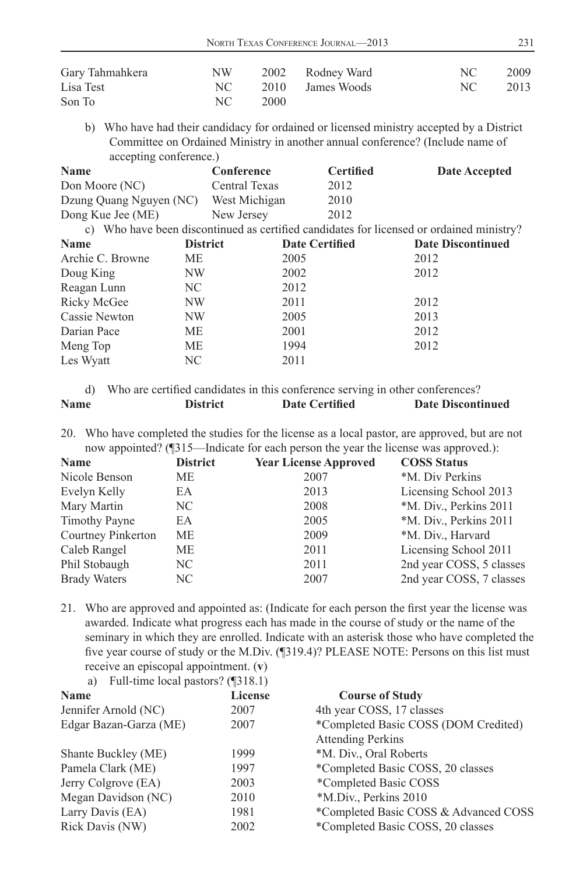| Gary Tahmahkera | NW.  |      | 2002 Rodney Ward | NC - | 2009 |
|-----------------|------|------|------------------|------|------|
| Lisa Test       | NC - |      | 2010 James Woods | NC   | 2013 |
| Son To          | NC.  | 2000 |                  |      |      |

 b) Who have had their candidacy for ordained or licensed ministry accepted by a District Committee on Ordained Ministry in another annual conference? (Include name of accepting conference.)

| <b>Name</b>             | Conference           | <b>Certified</b>      | Date Accepted                                                                            |
|-------------------------|----------------------|-----------------------|------------------------------------------------------------------------------------------|
| Don Moore (NC)          | <b>Central Texas</b> | 2012                  |                                                                                          |
| Dzung Quang Nguyen (NC) | West Michigan        | 2010                  |                                                                                          |
| Dong Kue Jee (ME)       | New Jersey           | 2012                  |                                                                                          |
|                         |                      |                       | c) Who have been discontinued as certified candidates for licensed or ordained ministry? |
| <b>Name</b>             | <b>District</b>      | <b>Date Certified</b> | <b>Date Discontinued</b>                                                                 |

| Archie C. Browne | МE  | 2005 | 2012 |
|------------------|-----|------|------|
| Doug King        | NW  | 2002 | 2012 |
| Reagan Lunn      | NC. | 2012 |      |
| Ricky McGee      | NW  | 2011 | 2012 |
| Cassie Newton    | NW  | 2005 | 2013 |
| Darian Pace      | МE  | 2001 | 2012 |
| Meng Top         | MЕ  | 1994 | 2012 |
| Les Wyatt        | NC. | 2011 |      |
|                  |     |      |      |

d) Who are certified candidates in this conference serving in other conferences? **Name District Date Certified Date Discontinued** 

20. Who have completed the studies for the license as a local pastor, are approved, but are not now appointed? (¶315—Indicate for each person the year the license was approved.):

| <b>Name</b>         | <b>District</b> | <b>Year License Approved</b> | <b>COSS Status</b>       |
|---------------------|-----------------|------------------------------|--------------------------|
| Nicole Benson       | МE              | 2007                         | *M. Div Perkins          |
| Evelyn Kelly        | EA              | 2013                         | Licensing School 2013    |
| Mary Martin         | NC.             | 2008                         | *M. Div., Perkins 2011   |
| Timothy Payne       | EA              | 2005                         | *M. Div., Perkins 2011   |
| Courtney Pinkerton  | <b>ME</b>       | 2009                         | *M. Div., Harvard        |
| Caleb Rangel        | МE              | 2011                         | Licensing School 2011    |
| Phil Stobaugh       | NC.             | 2011                         | 2nd year COSS, 5 classes |
| <b>Brady Waters</b> | NC.             | 2007                         | 2nd year COSS, 7 classes |

21. Who are approved and appointed as: (Indicate for each person the first year the license was awarded. Indicate what progress each has made in the course of study or the name of the seminary in which they are enrolled. Indicate with an asterisk those who have completed the five year course of study or the M.Div. (¶319.4)? PLEASE NOTE: Persons on this list must receive an episcopal appointment. (**v**)

a) Full-time local pastors? (¶318.1)

| <b>Name</b>            | <b>License</b> | <b>Course of Study</b>                |
|------------------------|----------------|---------------------------------------|
| Jennifer Arnold (NC)   | 2007           | 4th year COSS, 17 classes             |
| Edgar Bazan-Garza (ME) | 2007           | *Completed Basic COSS (DOM Credited)  |
|                        |                | <b>Attending Perkins</b>              |
| Shante Buckley (ME)    | 1999           | *M. Div., Oral Roberts                |
| Pamela Clark (ME)      | 1997           | *Completed Basic COSS, 20 classes     |
| Jerry Colgrove (EA)    | 2003           | *Completed Basic COSS                 |
| Megan Davidson (NC)    | 2010           | *M.Div., Perkins 2010                 |
| Larry Davis (EA)       | 1981           | *Completed Basic COSS & Advanced COSS |
| Rick Davis (NW)        | 2002           | *Completed Basic COSS, 20 classes     |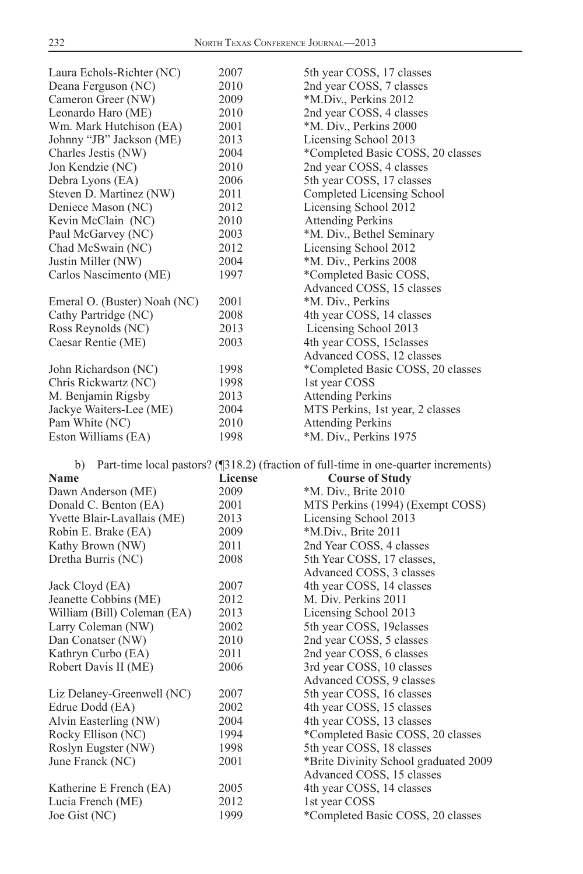| Laura Echols-Richter (NC)    | 2007           | 5th year COSS, 17 classes                                                           |
|------------------------------|----------------|-------------------------------------------------------------------------------------|
| Deana Ferguson (NC)          | 2010           | 2nd year COSS, 7 classes                                                            |
| Cameron Greer (NW)           | 2009           | *M.Div., Perkins 2012                                                               |
| Leonardo Haro (ME)           | 2010           | 2nd year COSS, 4 classes                                                            |
| Wm. Mark Hutchison (EA)      | 2001           | *M. Div., Perkins 2000                                                              |
| Johnny "JB" Jackson (ME)     | 2013           | Licensing School 2013                                                               |
| Charles Jestis (NW)          | 2004           | *Completed Basic COSS, 20 classes                                                   |
| Jon Kendzie (NC)             | 2010           | 2nd year COSS, 4 classes                                                            |
| Debra Lyons (EA)             | 2006           | 5th year COSS, 17 classes                                                           |
| Steven D. Martinez (NW)      | 2011           | Completed Licensing School                                                          |
| Deniece Mason (NC)           | 2012           | Licensing School 2012                                                               |
| Kevin McClain (NC)           | 2010           | <b>Attending Perkins</b>                                                            |
| Paul McGarvey (NC)           | 2003           | *M. Div., Bethel Seminary                                                           |
| Chad McSwain (NC)            | 2012           | Licensing School 2012                                                               |
| Justin Miller (NW)           | 2004           | *M. Div., Perkins 2008                                                              |
| Carlos Nascimento (ME)       | 1997           | *Completed Basic COSS,                                                              |
|                              |                | Advanced COSS, 15 classes                                                           |
| Emeral O. (Buster) Noah (NC) | 2001           | *M. Div., Perkins                                                                   |
| Cathy Partridge (NC)         | 2008           | 4th year COSS, 14 classes                                                           |
| Ross Reynolds (NC)           | 2013           | Licensing School 2013                                                               |
| Caesar Rentie (ME)           | 2003           | 4th year COSS, 15classes                                                            |
|                              |                | Advanced COSS, 12 classes                                                           |
| John Richardson (NC)         | 1998           | *Completed Basic COSS, 20 classes                                                   |
| Chris Rickwartz (NC)         | 1998           | 1st year COSS                                                                       |
| M. Benjamin Rigsby           | 2013           | <b>Attending Perkins</b>                                                            |
| Jackye Waiters-Lee (ME)      | 2004           | MTS Perkins, 1st year, 2 classes                                                    |
| Pam White (NC)               | 2010           | <b>Attending Perkins</b>                                                            |
| Eston Williams (EA)          | 1998           | *M. Div., Perkins 1975                                                              |
|                              |                |                                                                                     |
| b)                           |                | Part-time local pastors? (¶318.2) (fraction of full-time in one-quarter increments) |
| <b>Name</b>                  | <b>License</b> | <b>Course of Study</b>                                                              |
| Dawn Anderson (ME)           | 2009           | *M. Div., Brite 2010                                                                |
| Donald C. Benton (EA)        | 2001           | MTS Perkins (1994) (Exempt COSS)                                                    |
| Yvette Blair-Lavallais (ME)  | 2013           | Licensing School 2013                                                               |
| Robin E. Brake (EA)          | 2009           | *M.Div., Brite 2011                                                                 |
| Kathy Brown (NW)             | 2011           | 2nd Year COSS, 4 classes                                                            |
| Dretha Burris (NC)           | 2008           | 5th Year COSS, 17 classes,                                                          |
|                              |                | Advanced COSS, 3 classes                                                            |
| Jack Cloyd (EA)              | 2007           | 4th year COSS, 14 classes                                                           |
| Jeanette Cobbins (ME)        | 2012           | M. Div. Perkins 2011                                                                |
| William (Bill) Coleman (EA)  | 2013           | Licensing School 2013                                                               |
| Larry Coleman (NW)           | 2002           | 5th year COSS, 19 classes                                                           |
| Dan Conatser (NW)            | 2010           | 2nd year COSS, 5 classes                                                            |
| Kathryn Curbo (EA)           | 2011           | 2nd year COSS, 6 classes                                                            |
| Robert Davis II (ME)         | 2006           | 3rd year COSS, 10 classes                                                           |
|                              |                | Advanced COSS, 9 classes                                                            |
| Liz Delaney-Greenwell (NC)   | 2007           | 5th year COSS, 16 classes                                                           |
| Edrue Dodd (EA)              | 2002           | 4th year COSS, 15 classes                                                           |
| Alvin Easterling (NW)        | 2004           | 4th year COSS, 13 classes                                                           |
| Rocky Ellison (NC)           | 1994           | *Completed Basic COSS, 20 classes                                                   |
| Roslyn Eugster (NW)          | 1998           | 5th year COSS, 18 classes                                                           |
| June Franck (NC)             | 2001           | *Brite Divinity School graduated 2009                                               |
|                              |                | Advanced COSS, 15 classes                                                           |
| Katherine E French (EA)      | 2005           | 4th year COSS, 14 classes                                                           |
| Lucia French (ME)            | 2012           | 1st year COSS                                                                       |
| Joe Gist (NC)                | 1999           | *Completed Basic COSS, 20 classes                                                   |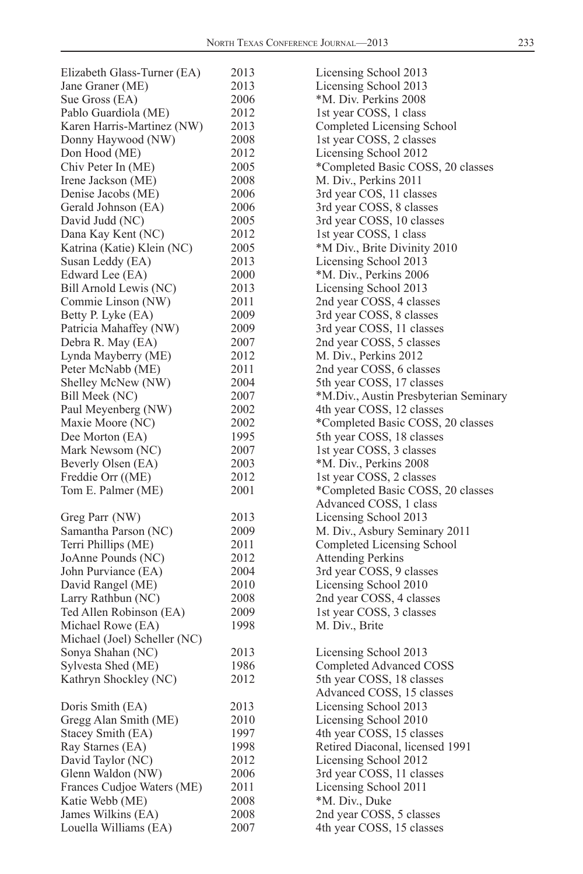| Elizabeth Glass-Turner (EA)  | 2013         | Licensing School 2013                                       |
|------------------------------|--------------|-------------------------------------------------------------|
| Jane Graner (ME)             | 2013         | Licensing School 2013                                       |
| Sue Gross (EA)               | 2006         | *M. Div. Perkins 2008                                       |
| Pablo Guardiola (ME)         | 2012         | 1st year COSS, 1 class                                      |
| Karen Harris-Martinez (NW)   | 2013         | Completed Licensing School                                  |
| Donny Haywood (NW)           | 2008         | 1st year COSS, 2 classes                                    |
| Don Hood (ME)                | 2012         | Licensing School 2012                                       |
| Chiv Peter In (ME)           | 2005         | *Completed Basic COSS, 20 classes                           |
| Irene Jackson (ME)           | 2008         | M. Div., Perkins 2011                                       |
| Denise Jacobs (ME)           | 2006         | 3rd year COS, 11 classes                                    |
| Gerald Johnson (EA)          | 2006         | 3rd year COSS, 8 classes                                    |
| David Judd (NC)              | 2005         | 3rd year COSS, 10 classes                                   |
| Dana Kay Kent (NC)           | 2012         | 1st year COSS, 1 class                                      |
| Katrina (Katie) Klein (NC)   | 2005         | *M Div., Brite Divinity 2010                                |
| Susan Leddy (EA)             | 2013         | Licensing School 2013                                       |
| Edward Lee (EA)              | 2000         | *M. Div., Perkins 2006                                      |
| Bill Arnold Lewis (NC)       | 2013         | Licensing School 2013                                       |
| Commie Linson (NW)           | 2011         | 2nd year COSS, 4 classes                                    |
| Betty P. Lyke (EA)           | 2009         | 3rd year COSS, 8 classes                                    |
| Patricia Mahaffey (NW)       | 2009         | 3rd year COSS, 11 classes                                   |
| Debra R. May (EA)            | 2007         | 2nd year COSS, 5 classes                                    |
| Lynda Mayberry (ME)          | 2012         | M. Div., Perkins 2012                                       |
| Peter McNabb (ME)            | 2011         | 2nd year COSS, 6 classes                                    |
|                              | 2004         | 5th year COSS, 17 classes                                   |
| Shelley McNew (NW)           | 2007         |                                                             |
| Bill Meek (NC)               |              | *M.Div., Austin Presbyterian Seminary                       |
| Paul Meyenberg (NW)          | 2002<br>2002 | 4th year COSS, 12 classes                                   |
| Maxie Moore (NC)             |              | *Completed Basic COSS, 20 classes                           |
| Dee Morton (EA)              | 1995         | 5th year COSS, 18 classes                                   |
| Mark Newsom (NC)             | 2007         | 1st year COSS, 3 classes                                    |
| Beverly Olsen (EA)           | 2003         | *M. Div., Perkins 2008                                      |
| Freddie Orr ((ME)            | 2012         | 1st year COSS, 2 classes                                    |
| Tom E. Palmer (ME)           | 2001         | *Completed Basic COSS, 20 classes<br>Advanced COSS, 1 class |
| Greg Parr (NW)               | 2013         | Licensing School 2013                                       |
| Samantha Parson (NC)         | 2009         | M. Div., Asbury Seminary 2011                               |
| Terri Phillips (ME)          | 2011         | Completed Licensing School                                  |
| JoAnne Pounds (NC)           | 2012         | <b>Attending Perkins</b>                                    |
| John Purviance (EA)          | 2004         | 3rd year COSS, 9 classes                                    |
| David Rangel (ME)            | 2010         | Licensing School 2010                                       |
| Larry Rathbun (NC)           | 2008         | 2nd year COSS, 4 classes                                    |
| Ted Allen Robinson (EA)      | 2009         | 1st year COSS, 3 classes                                    |
| Michael Rowe (EA)            | 1998         | M. Div., Brite                                              |
| Michael (Joel) Scheller (NC) |              |                                                             |
| Sonya Shahan (NC)            | 2013         | Licensing School 2013                                       |
| Sylvesta Shed (ME)           | 1986         | Completed Advanced COSS                                     |
| Kathryn Shockley (NC)        | 2012         | 5th year COSS, 18 classes                                   |
|                              |              | Advanced COSS, 15 classes                                   |
| Doris Smith (EA)             | 2013         | Licensing School 2013                                       |
| Gregg Alan Smith (ME)        | 2010         | Licensing School 2010                                       |
| Stacey Smith (EA)            | 1997         | 4th year COSS, 15 classes                                   |
| Ray Starnes (EA)             | 1998         | Retired Diaconal, licensed 1991                             |
| David Taylor (NC)            | 2012         | Licensing School 2012                                       |
| Glenn Waldon (NW)            | 2006         | 3rd year COSS, 11 classes                                   |
| Frances Cudjoe Waters (ME)   | 2011         | Licensing School 2011                                       |
| Katie Webb (ME)              | 2008         | *M. Div., Duke                                              |
| James Wilkins (EA)           | 2008         | 2nd year COSS, 5 classes                                    |
| Louella Williams (EA)        | 2007         | 4th year COSS, 15 classes                                   |
|                              |              |                                                             |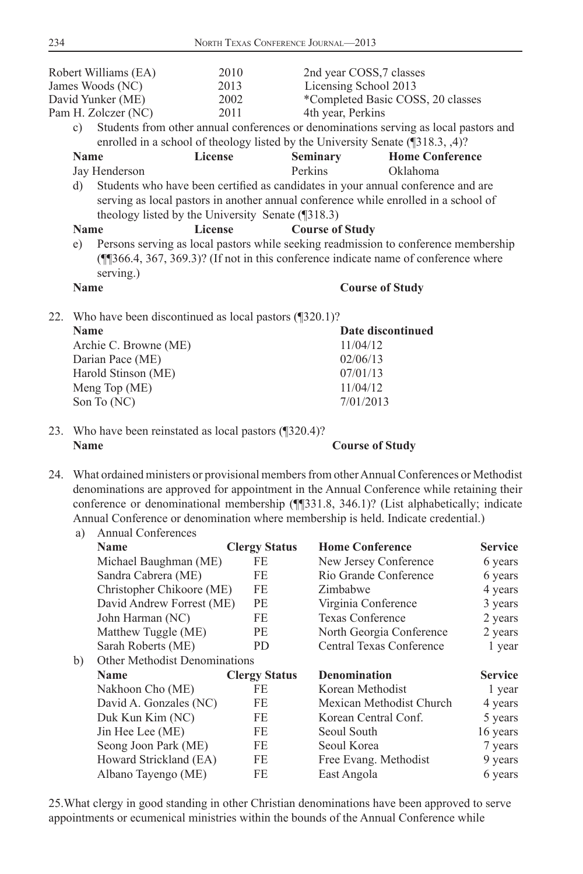|    | Robert Williams (EA)                                      | 2010                                              | 2nd year COSS, 7 classes |                                                                                      |
|----|-----------------------------------------------------------|---------------------------------------------------|--------------------------|--------------------------------------------------------------------------------------|
|    | James Woods (NC)                                          | 2013                                              | Licensing School 2013    |                                                                                      |
|    | David Yunker (ME)                                         | 2002                                              |                          | *Completed Basic COSS, 20 classes                                                    |
|    | Pam H. Zolczer (NC)                                       | 2011                                              | 4th year, Perkins        |                                                                                      |
| c) |                                                           |                                                   |                          | Students from other annual conferences or denominations serving as local pastors and |
|    |                                                           |                                                   |                          | enrolled in a school of theology listed by the University Senate (¶318.3, ,4)?       |
|    | <b>Name</b>                                               | License                                           | <b>Seminary</b>          | <b>Home Conference</b>                                                               |
|    | Jay Henderson                                             |                                                   | Perkins                  | Oklahoma                                                                             |
| d) |                                                           |                                                   |                          | Students who have been certified as candidates in your annual conference and are     |
|    |                                                           |                                                   |                          | serving as local pastors in another annual conference while enrolled in a school of  |
|    |                                                           | theology listed by the University Senate (¶318.3) |                          |                                                                                      |
|    | <b>Name</b>                                               | License                                           | <b>Course of Study</b>   |                                                                                      |
| e) |                                                           |                                                   |                          | Persons serving as local pastors while seeking readmission to conference membership  |
|    | serving.)                                                 |                                                   |                          | (11366.4, 367, 369.3)? (If not in this conference indicate name of conference where  |
|    | <b>Name</b>                                               |                                                   |                          | <b>Course of Study</b>                                                               |
|    |                                                           |                                                   |                          |                                                                                      |
|    | 22. Who have been discontinued as local pastors (1320.1)? |                                                   |                          |                                                                                      |

| Date discontinued |
|-------------------|
| 11/04/12          |
| 02/06/13          |
| 07/01/13          |
| 11/04/12          |
| 7/01/2013         |
|                   |

23. Who have been reinstated as local pastors (¶320.4)? **Name** Course of Study

24. What ordained ministers or provisional members from other Annual Conferences or Methodist denominations are approved for appointment in the Annual Conference while retaining their

conference or denominational membership (¶¶331.8, 346.1)? (List alphabetically; indicate Annual Conference or denomination where membership is held. Indicate credential.) a) Annual Conferences

| u, | Tumuut Complete               |                      |                          |                |
|----|-------------------------------|----------------------|--------------------------|----------------|
|    | <b>Name</b>                   | <b>Clergy Status</b> | <b>Home Conference</b>   | <b>Service</b> |
|    | Michael Baughman (ME)         | FE                   | New Jersey Conference    | 6 years        |
|    | Sandra Cabrera (ME)           | FE                   | Rio Grande Conference    | 6 years        |
|    | Christopher Chikoore (ME)     | FE.                  | Zimbabwe                 | 4 years        |
|    | David Andrew Forrest (ME)     | PE                   | Virginia Conference      | 3 years        |
|    | John Harman (NC)              | FE.                  | <b>Texas Conference</b>  | 2 years        |
|    | Matthew Tuggle (ME)           | PE                   | North Georgia Conference | 2 years        |
|    | Sarah Roberts (ME)            | PD                   | Central Texas Conference | 1 year         |
| b) | Other Methodist Denominations |                      |                          |                |
|    | <b>Name</b>                   | <b>Clergy Status</b> | <b>Denomination</b>      | <b>Service</b> |
|    | Nakhoon Cho (ME)              | FE                   | Korean Methodist         | 1 year         |
|    | David A. Gonzales (NC)        | FE.                  | Mexican Methodist Church | 4 years        |
|    | Duk Kun Kim (NC)              | FE                   | Korean Central Conf.     | 5 years        |
|    | Jin Hee Lee (ME)              | FE                   | Seoul South              | 16 years       |
|    | Seong Joon Park (ME)          | FE                   | Seoul Korea              | 7 years        |
|    | Howard Strickland (EA)        | FE.                  | Free Evang. Methodist    | 9 years        |
|    | Albano Tayengo (ME)           | FE.                  | East Angola              | 6 years        |
|    |                               |                      |                          |                |

25. What clergy in good standing in other Christian denominations have been approved to serve appointments or ecumenical ministries within the bounds of the Annual Conference while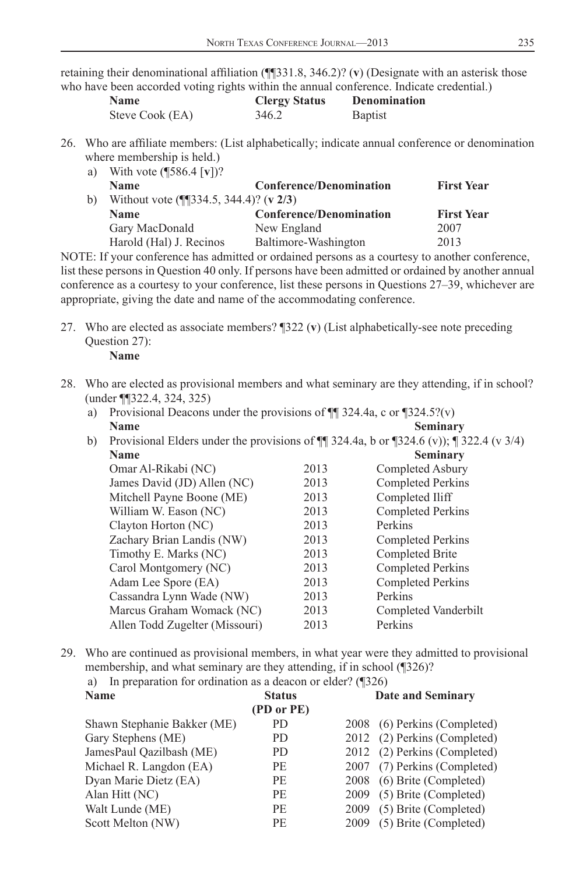retaining their denominational affiliation (¶¶331.8, 346.2)? (**v**) (Designate with an asterisk those who have been accorded voting rights within the annual conference. Indicate credential.)

| <b>Name</b>     | <b>Clergy Status</b> | <b>Denomination</b> |
|-----------------|----------------------|---------------------|
| Steve Cook (EA) | 346.2                | <b>Baptist</b>      |

26. Who are affiliate members: (List alphabetically; indicate annual conference or denomination where membership is held.)

| a) | With vote $(\sqrt{586.4} \, \text{[v]})$ ? |                                |                   |
|----|--------------------------------------------|--------------------------------|-------------------|
|    | <b>Name</b>                                | <b>Conference/Denomination</b> | <b>First Year</b> |
| b) | Without vote $(\P$ [334.5, 344.4)? (v 2/3) |                                |                   |
|    | <b>Name</b>                                | <b>Conference/Denomination</b> | <b>First Year</b> |
|    | Gary MacDonald                             | New England                    | 2007              |
|    | Harold (Hal) J. Recinos                    | Baltimore-Washington           | 2013              |

NOTE: If your conference has admitted or ordained persons as a courtesy to another conference, list these persons in Question 40 only. If persons have been admitted or ordained by another annual conference as a courtesy to your conference, list these persons in Questions 27–39, whichever are appropriate, giving the date and name of the accommodating conference.

 27. Who are elected as associate members? ¶322 (**v**) (List alphabetically-see note preceding Question 27):

 **Name**

- 28. Who are elected as provisional members and what seminary are they attending, if in school? (under ¶¶322.4, 324, 325)
	- a) Provisional Deacons under the provisions of  $\P$  324.4a, c or  $\P$ 324.5?(v) **Name** Seminary
	- b) Provisional Elders under the provisions of  $\P$  324.4a, b or  $\P$ 324.6 (v));  $\P$  322.4 (v 3/4) **Name** Seminary

|                                |      | $\sim$ $\sim$ $\sim$ $\sim$ $\sim$ $\sim$ |
|--------------------------------|------|-------------------------------------------|
| Omar Al-Rikabi (NC)            | 2013 | Completed Asbury                          |
| James David (JD) Allen (NC)    | 2013 | Completed Perkins                         |
| Mitchell Payne Boone (ME)      | 2013 | Completed Iliff                           |
| William W. Eason (NC)          | 2013 | Completed Perkins                         |
| Clayton Horton (NC)            | 2013 | Perkins                                   |
| Zachary Brian Landis (NW)      | 2013 | Completed Perkins                         |
| Timothy E. Marks (NC)          | 2013 | Completed Brite                           |
| Carol Montgomery (NC)          | 2013 | <b>Completed Perkins</b>                  |
| Adam Lee Spore (EA)            | 2013 | <b>Completed Perkins</b>                  |
| Cassandra Lynn Wade (NW)       | 2013 | Perkins                                   |
| Marcus Graham Womack (NC)      | 2013 | Completed Vanderbilt                      |
| Allen Todd Zugelter (Missouri) | 2013 | Perkins                                   |
|                                |      |                                           |

29. Who are continued as provisional members, in what year were they admitted to provisional membership, and what seminary are they attending, if in school (¶326)?

a) In preparation for ordination as a deacon or elder? (¶326)

| <b>Name</b>                 | <b>Status</b> |      | <b>Date and Seminary</b>     |
|-----------------------------|---------------|------|------------------------------|
|                             | (PD or PE)    |      |                              |
| Shawn Stephanie Bakker (ME) | PD.           |      | 2008 (6) Perkins (Completed) |
| Gary Stephens (ME)          | PD.           |      | 2012 (2) Perkins (Completed) |
| JamesPaul Oazilbash (ME)    | PD.           |      | 2012 (2) Perkins (Completed) |
| Michael R. Langdon (EA)     | PE.           |      | 2007 (7) Perkins (Completed) |
| Dyan Marie Dietz (EA)       | РE            |      | 2008 (6) Brite (Completed)   |
| Alan Hitt (NC)              | PE.           |      | 2009 (5) Brite (Completed)   |
| Walt Lunde (ME)             | PE.           | 2009 | (5) Brite (Completed)        |
| Scott Melton (NW)           | PE            | 2009 | (5) Brite (Completed)        |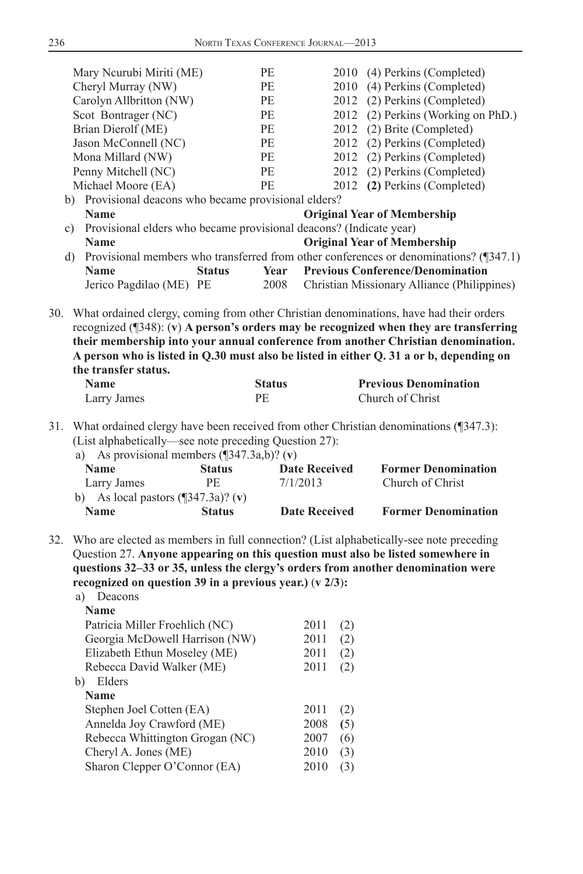|     | Mary Neurubi Miriti (ME)<br>Cheryl Murray (NW)<br>Carolyn Allbritton (NW)<br>Scot Bontrager (NC)<br>Brian Dierolf (ME)<br>Jason McConnell (NC)<br>Mona Millard (NW)<br>Penny Mitchell (NC)<br>Michael Moore (EA) | PE<br>PE<br>PE<br>PE<br>PE<br>PE<br>PE<br>PE<br>PE | 2012<br>2012               | 2010 (4) Perkins (Completed)<br>2010 (4) Perkins (Completed)<br>2012 (2) Perkins (Completed)<br>2012 (2) Perkins (Working on PhD.)<br>2012 (2) Brite (Completed)<br>2012 (2) Perkins (Completed)<br>2012 (2) Perkins (Completed)<br>(2) Perkins (Completed)<br>(2) Perkins (Completed)                                                                                       |
|-----|------------------------------------------------------------------------------------------------------------------------------------------------------------------------------------------------------------------|----------------------------------------------------|----------------------------|------------------------------------------------------------------------------------------------------------------------------------------------------------------------------------------------------------------------------------------------------------------------------------------------------------------------------------------------------------------------------|
|     | b) Provisional deacons who became provisional elders?<br>Name                                                                                                                                                    |                                                    |                            | <b>Original Year of Membership</b>                                                                                                                                                                                                                                                                                                                                           |
|     | c) Provisional elders who became provisional deacons? (Indicate year)                                                                                                                                            |                                                    |                            |                                                                                                                                                                                                                                                                                                                                                                              |
|     | <b>Name</b>                                                                                                                                                                                                      |                                                    |                            | <b>Original Year of Membership</b>                                                                                                                                                                                                                                                                                                                                           |
|     | d)                                                                                                                                                                                                               |                                                    |                            | Provisional members who transferred from other conferences or denominations? (¶347.1)                                                                                                                                                                                                                                                                                        |
|     | Name                                                                                                                                                                                                             | <b>Status</b><br>Year                              |                            | <b>Previous Conference/Denomination</b>                                                                                                                                                                                                                                                                                                                                      |
|     | Jerico Pagdilao (ME) PE                                                                                                                                                                                          | 2008                                               |                            | Christian Missionary Alliance (Philippines)                                                                                                                                                                                                                                                                                                                                  |
|     | the transfer status.                                                                                                                                                                                             |                                                    |                            | 30. What ordained clergy, coming from other Christian denominations, have had their orders<br>recognized $(\sqrt{348})$ : (v) A person's orders may be recognized when they are transferring<br>their membership into your annual conference from another Christian denomination.<br>A person who is listed in Q.30 must also be listed in either Q. 31 a or b, depending on |
|     | <b>Name</b>                                                                                                                                                                                                      | <b>Status</b>                                      |                            | <b>Previous Denomination</b>                                                                                                                                                                                                                                                                                                                                                 |
|     | Larry James                                                                                                                                                                                                      | <b>PE</b>                                          |                            | Church of Christ                                                                                                                                                                                                                                                                                                                                                             |
| 31. | (List alphabetically—see note preceding Question 27):<br>a) As provisional members $(\sqrt{347.3a,b})$ ? (v)<br><b>Name</b><br>Larry James                                                                       | <b>Status</b><br>PE<br>7/1/2013                    | <b>Date Received</b>       | What ordained clergy have been received from other Christian denominations (¶347.3):<br><b>Former Denomination</b><br>Church of Christ                                                                                                                                                                                                                                       |
|     | b) As local pastors $(\sqrt{347.3a})$ ? (v)                                                                                                                                                                      |                                                    |                            |                                                                                                                                                                                                                                                                                                                                                                              |
|     | Name                                                                                                                                                                                                             | <b>Status</b>                                      | <b>Date Received</b>       | <b>Former Denomination</b>                                                                                                                                                                                                                                                                                                                                                   |
| 32. | Question 27. Anyone appearing on this question must also be listed somewhere in<br>recognized on question 39 in a previous year.) $(v \frac{2}{3})$ :<br>a) Deacons                                              |                                                    |                            | Who are elected as members in full connection? (List alphabetically-see note preceding<br>questions 32-33 or 35, unless the clergy's orders from another denomination were                                                                                                                                                                                                   |
|     | Name                                                                                                                                                                                                             |                                                    |                            |                                                                                                                                                                                                                                                                                                                                                                              |
|     | Patricia Miller Froehlich (NC)                                                                                                                                                                                   |                                                    | 2011<br>(2)                |                                                                                                                                                                                                                                                                                                                                                                              |
|     | Georgia McDowell Harrison (NW)                                                                                                                                                                                   |                                                    | 2011<br>(2)                |                                                                                                                                                                                                                                                                                                                                                                              |
|     | Elizabeth Ethun Moseley (ME)                                                                                                                                                                                     |                                                    | 2011<br>(2)                |                                                                                                                                                                                                                                                                                                                                                                              |
|     | Rebecca David Walker (ME)<br>b) Elders                                                                                                                                                                           |                                                    | $2011$ (2)                 |                                                                                                                                                                                                                                                                                                                                                                              |
|     | Name                                                                                                                                                                                                             |                                                    |                            |                                                                                                                                                                                                                                                                                                                                                                              |
|     | Stephen Joel Cotten (EA)                                                                                                                                                                                         |                                                    | 2011<br>(2)<br>2008<br>(5) |                                                                                                                                                                                                                                                                                                                                                                              |
|     |                                                                                                                                                                                                                  |                                                    |                            |                                                                                                                                                                                                                                                                                                                                                                              |
|     | Annelda Joy Crawford (ME)                                                                                                                                                                                        |                                                    |                            |                                                                                                                                                                                                                                                                                                                                                                              |
|     | Rebecca Whittington Grogan (NC)                                                                                                                                                                                  |                                                    | 2007<br>(6)                |                                                                                                                                                                                                                                                                                                                                                                              |
|     | Cheryl A. Jones (ME)                                                                                                                                                                                             |                                                    | 2010<br>(3)                |                                                                                                                                                                                                                                                                                                                                                                              |
|     | Sharon Clepper O'Connor (EA)                                                                                                                                                                                     |                                                    | 2010<br>(3)                |                                                                                                                                                                                                                                                                                                                                                                              |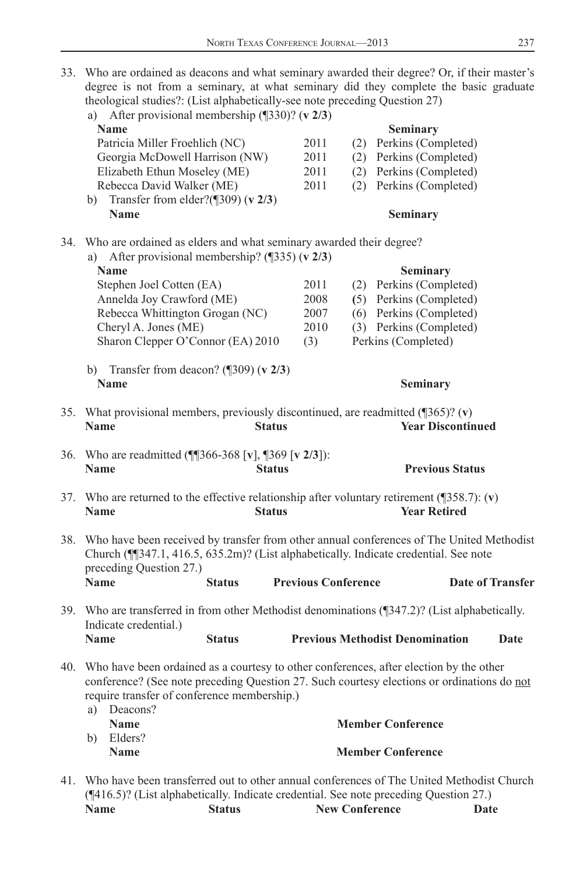33. Who are ordained as deacons and what seminary awarded their degree? Or, if their master's degree is not from a seminary, at what seminary did they complete the basic graduate theological studies?: (List alphabetically-see note preceding Question 27)

|     | a) After provisional membership $(\sqrt{330})$ ? (v 2/3)                                                  |               |                            |     |                                                                                                                                                                                      |      |
|-----|-----------------------------------------------------------------------------------------------------------|---------------|----------------------------|-----|--------------------------------------------------------------------------------------------------------------------------------------------------------------------------------------|------|
|     | <b>Name</b>                                                                                               |               |                            |     | Seminary                                                                                                                                                                             |      |
|     | Patricia Miller Froehlich (NC)                                                                            |               | 2011                       |     | (2) Perkins (Completed)                                                                                                                                                              |      |
|     | Georgia McDowell Harrison (NW)                                                                            |               | 2011                       | (2) | Perkins (Completed)                                                                                                                                                                  |      |
|     | Elizabeth Ethun Moseley (ME)                                                                              |               | 2011                       |     | (2) Perkins (Completed)                                                                                                                                                              |      |
|     | Rebecca David Walker (ME)                                                                                 |               | 2011                       | (2) | Perkins (Completed)                                                                                                                                                                  |      |
|     | Transfer from elder?( $\sqrt{309}$ ) (v 2/3)<br>b)                                                        |               |                            |     |                                                                                                                                                                                      |      |
|     | <b>Name</b>                                                                                               |               |                            |     | Seminary                                                                                                                                                                             |      |
| 34. | Who are ordained as elders and what seminary awarded their degree?                                        |               |                            |     |                                                                                                                                                                                      |      |
|     | a) After provisional membership? $(\sqrt{335})$ (v 2/3)                                                   |               |                            |     |                                                                                                                                                                                      |      |
|     | <b>Name</b>                                                                                               |               |                            |     | <b>Seminary</b>                                                                                                                                                                      |      |
|     | Stephen Joel Cotten (EA)                                                                                  |               | 2011                       |     | (2) Perkins (Completed)                                                                                                                                                              |      |
|     | Annelda Joy Crawford (ME)                                                                                 |               | 2008                       |     | (5) Perkins (Completed)                                                                                                                                                              |      |
|     | Rebecca Whittington Grogan (NC)                                                                           |               | 2007                       |     | (6) Perkins (Completed)                                                                                                                                                              |      |
|     | Cheryl A. Jones (ME)                                                                                      |               | 2010                       |     | (3) Perkins (Completed)                                                                                                                                                              |      |
|     | Sharon Clepper O'Connor (EA) 2010                                                                         |               | (3)                        |     | Perkins (Completed)                                                                                                                                                                  |      |
|     | b) Transfer from deacon? ( $\sqrt{309}$ ) (v 2/3)                                                         |               |                            |     |                                                                                                                                                                                      |      |
|     | <b>Name</b>                                                                                               |               |                            |     | Seminary                                                                                                                                                                             |      |
|     | 35. What provisional members, previously discontinued, are readmitted $(\sqrt{365})$ ? (v)<br><b>Name</b> | <b>Status</b> |                            |     | <b>Year Discontinued</b>                                                                                                                                                             |      |
|     | 36. Who are readmitted (¶\\$366-368 [v], \\$369 [v 2/3]):<br><b>Name</b>                                  | <b>Status</b> |                            |     | <b>Previous Status</b>                                                                                                                                                               |      |
|     | <b>Name</b>                                                                                               | <b>Status</b> |                            |     | 37. Who are returned to the effective relationship after voluntary retirement $(\sqrt{358.7})$ : (v)<br><b>Year Retired</b>                                                          |      |
| 38. | preceding Question 27.)                                                                                   |               |                            |     | Who have been received by transfer from other annual conferences of The United Methodist<br>Church (¶[347.1, 416.5, 635.2m)? (List alphabetically. Indicate credential. See note     |      |
|     | <b>Name</b>                                                                                               | <b>Status</b> | <b>Previous Conference</b> |     | <b>Date of Transfer</b>                                                                                                                                                              |      |
| 39. | Indicate credential.)                                                                                     |               |                            |     | Who are transferred in from other Methodist denominations (¶347.2)? (List alphabetically.                                                                                            |      |
|     | <b>Name</b>                                                                                               | <b>Status</b> |                            |     | <b>Previous Methodist Denomination</b>                                                                                                                                               | Date |
| 40. | require transfer of conference membership.)<br>a) Deacons?                                                |               |                            |     | Who have been ordained as a courtesy to other conferences, after election by the other<br>conference? (See note preceding Question 27. Such courtesy elections or ordinations do not |      |
|     | <b>Name</b>                                                                                               |               |                            |     | <b>Member Conference</b>                                                                                                                                                             |      |
|     | b) Elders?<br><b>Name</b>                                                                                 |               |                            |     | <b>Member Conference</b>                                                                                                                                                             |      |
| 41. |                                                                                                           |               |                            |     | Who have been transferred out to other annual conferences of The United Methodist Church<br>(¶416.5)? (List alphabetically. Indicate credential. See note preceding Question 27.)    |      |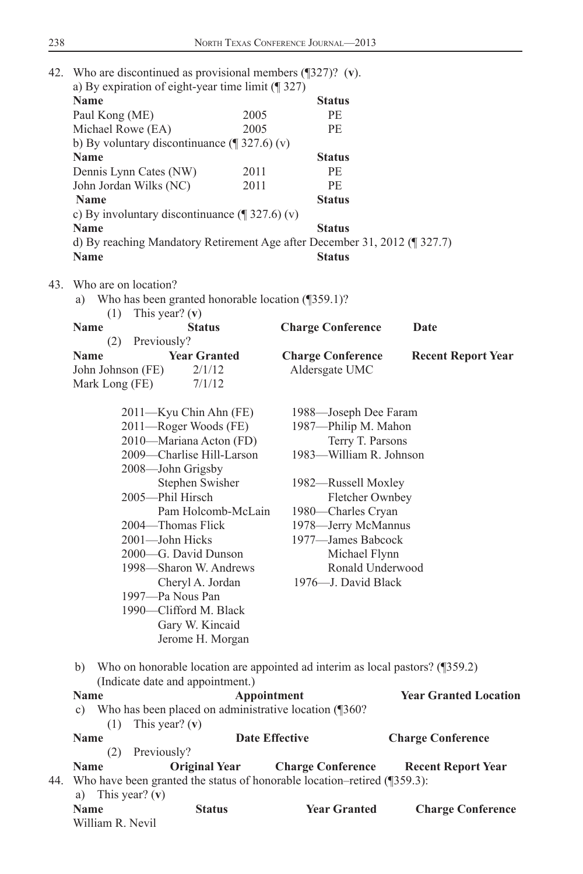|     | 42. Who are discontinued as provisional members $(\sqrt{327})$ ? (v).<br>a) By expiration of eight-year time limit $(\sqrt{\phantom{a}}327)$ |                                                                               |                              |
|-----|----------------------------------------------------------------------------------------------------------------------------------------------|-------------------------------------------------------------------------------|------------------------------|
|     | <b>Name</b>                                                                                                                                  | <b>Status</b>                                                                 |                              |
|     | Paul Kong (ME)                                                                                                                               | 2005<br>PE                                                                    |                              |
|     | Michael Rowe (EA)                                                                                                                            | 2005<br>PE                                                                    |                              |
|     | b) By voluntary discontinuance $(\sqrt{\phantom{a}}\,327.6)(v)$                                                                              |                                                                               |                              |
|     | <b>Name</b>                                                                                                                                  | <b>Status</b>                                                                 |                              |
|     | Dennis Lynn Cates (NW)                                                                                                                       | PE<br>2011                                                                    |                              |
|     | John Jordan Wilks (NC)                                                                                                                       | 2011<br>PE                                                                    |                              |
|     | <b>Name</b>                                                                                                                                  | <b>Status</b>                                                                 |                              |
|     | c) By involuntary discontinuance $(\sqrt{\phantom{a}}\,327.6)(v)$                                                                            |                                                                               |                              |
|     | <b>Name</b>                                                                                                                                  | <b>Status</b>                                                                 |                              |
|     | d) By reaching Mandatory Retirement Age after December 31, 2012 (¶ 327.7)                                                                    |                                                                               |                              |
|     | <b>Name</b>                                                                                                                                  | <b>Status</b>                                                                 |                              |
|     |                                                                                                                                              |                                                                               |                              |
| 43. | Who are on location?<br>Who has been granted honorable location (1359.1)?<br>a)<br>This year? $(v)$<br>(1)                                   |                                                                               |                              |
|     | <b>Name</b><br><b>Status</b><br>Previously?<br>(2)                                                                                           | <b>Charge Conference</b>                                                      | Date                         |
|     | <b>Year Granted</b><br><b>Name</b>                                                                                                           | <b>Charge Conference</b>                                                      | <b>Recent Report Year</b>    |
|     | 2/1/12<br>John Johnson (FE)                                                                                                                  | Aldersgate UMC                                                                |                              |
|     | 7/1/12<br>Mark Long (FE)                                                                                                                     |                                                                               |                              |
|     |                                                                                                                                              |                                                                               |                              |
|     | 2011-Kyu Chin Ahn (FE)                                                                                                                       | 1988—Joseph Dee Faram                                                         |                              |
|     | 2011-Roger Woods (FE)                                                                                                                        | 1987-Philip M. Mahon                                                          |                              |
|     | 2010—Mariana Acton (FD)                                                                                                                      | Terry T. Parsons                                                              |                              |
|     | 2009-Charlise Hill-Larson                                                                                                                    | 1983—William R. Johnson                                                       |                              |
|     | 2008-John Grigsby                                                                                                                            |                                                                               |                              |
|     | Stephen Swisher                                                                                                                              | 1982-Russell Moxley                                                           |                              |
|     | 2005-Phil Hirsch                                                                                                                             | Fletcher Ownbey                                                               |                              |
|     | Pam Holcomb-McLain                                                                                                                           | 1980-Charles Cryan                                                            |                              |
|     | 2004-Thomas Flick                                                                                                                            | 1978-Jerry McMannus                                                           |                              |
|     | 2001-John Hicks                                                                                                                              | 1977—James Babcock                                                            |                              |
|     | 2000-G. David Dunson                                                                                                                         | Michael Flynn                                                                 |                              |
|     | 1998-Sharon W. Andrews                                                                                                                       | Ronald Underwood                                                              |                              |
|     | Cheryl A. Jordan                                                                                                                             | 1976-J. David Black                                                           |                              |
|     | 1997-Pa Nous Pan                                                                                                                             |                                                                               |                              |
|     | 1990—Clifford M. Black                                                                                                                       |                                                                               |                              |
|     | Gary W. Kincaid                                                                                                                              |                                                                               |                              |
|     |                                                                                                                                              |                                                                               |                              |
|     | Jerome H. Morgan                                                                                                                             |                                                                               |                              |
|     | b)<br>(Indicate date and appointment.)                                                                                                       | Who on honorable location are appointed ad interim as local pastors? (¶359.2) |                              |
|     | Name                                                                                                                                         | Appointment                                                                   | <b>Year Granted Location</b> |
|     | c) Who has been placed on administrative location (¶360?<br>This year? $(v)$                                                                 |                                                                               |                              |
|     | (1)<br><b>Name</b>                                                                                                                           | <b>Date Effective</b>                                                         | <b>Charge Conference</b>     |
|     | (2) Previously?                                                                                                                              |                                                                               |                              |
|     | <b>Original Year</b><br>Name                                                                                                                 | <b>Charge Conference</b>                                                      | <b>Recent Report Year</b>    |
| 44. | Who have been granted the status of honorable location-retired (¶359.3):                                                                     |                                                                               |                              |
|     | a) This year? $(v)$                                                                                                                          |                                                                               |                              |
|     | Name<br><b>Status</b>                                                                                                                        | <b>Year Granted</b>                                                           | <b>Charge Conference</b>     |
|     | William R. Nevil                                                                                                                             |                                                                               |                              |
|     |                                                                                                                                              |                                                                               |                              |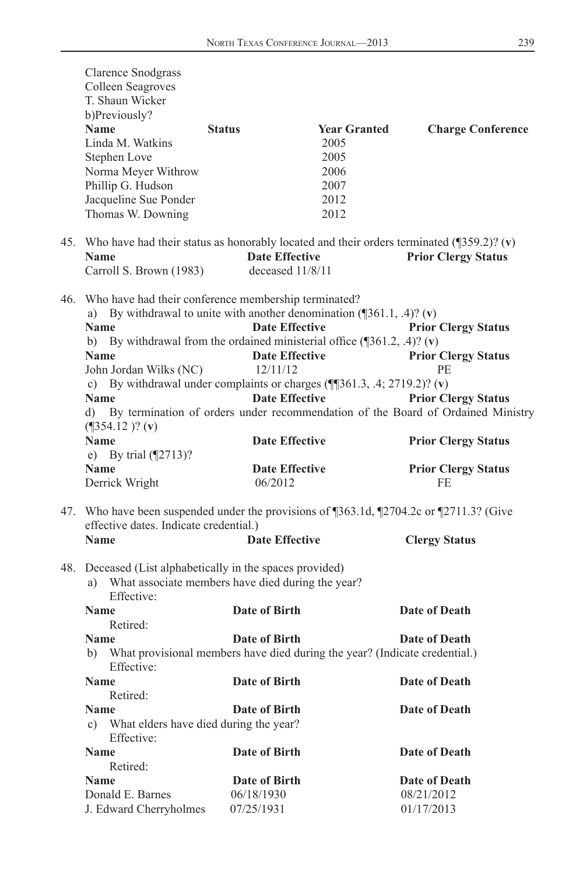| <b>Clarence Snodgrass</b><br>Colleen Seagroves<br>T. Shaun Wicker<br>b)Previously?<br><b>Name</b><br>Linda M. Watkins<br>Stephen Love<br>Norma Meyer Withrow<br>Phillip G. Hudson<br>Jacqueline Sue Ponder<br>Thomas W. Downing                                                                                                                                                                                                | <b>Status</b>                                                                                                | <b>Year Granted</b><br>2005<br>2005<br>2006<br>2007<br>2012<br>2012 | <b>Charge Conference</b>                                                                                                                                                                                         |
|--------------------------------------------------------------------------------------------------------------------------------------------------------------------------------------------------------------------------------------------------------------------------------------------------------------------------------------------------------------------------------------------------------------------------------|--------------------------------------------------------------------------------------------------------------|---------------------------------------------------------------------|------------------------------------------------------------------------------------------------------------------------------------------------------------------------------------------------------------------|
| 45. Who have had their status as honorably located and their orders terminated ( $\frac{1}{359.2}$ )? (v)<br><b>Name</b>                                                                                                                                                                                                                                                                                                       | <b>Date Effective</b>                                                                                        |                                                                     | <b>Prior Clergy Status</b>                                                                                                                                                                                       |
| Carroll S. Brown (1983)                                                                                                                                                                                                                                                                                                                                                                                                        | deceased $11/8/11$                                                                                           |                                                                     |                                                                                                                                                                                                                  |
| 46. Who have had their conference membership terminated?<br>a) By withdrawal to unite with another denomination $(\sqrt{361.1}, .4)$ ? (v)<br><b>Name</b><br>b) By withdrawal from the ordained ministerial office $(\sqrt{361.2}, .4)$ ? (v)<br><b>Name</b><br>John Jordan Wilks (NC)<br>c) By withdrawal under complaints or charges $(\P$ [361.3, .4; 2719.2)? (v)<br><b>Name</b><br>$(\sqrt{354.12})$ ? (v)<br><b>Name</b> | <b>Date Effective</b><br><b>Date Effective</b><br>12/11/12<br><b>Date Effective</b><br><b>Date Effective</b> |                                                                     | <b>Prior Clergy Status</b><br><b>Prior Clergy Status</b><br>РE<br><b>Prior Clergy Status</b><br>d) By termination of orders under recommendation of the Board of Ordained Ministry<br><b>Prior Clergy Status</b> |
| e) By trial $(\sqrt{2713})$ ?                                                                                                                                                                                                                                                                                                                                                                                                  |                                                                                                              |                                                                     |                                                                                                                                                                                                                  |
| <b>Name</b><br>Derrick Wright                                                                                                                                                                                                                                                                                                                                                                                                  | <b>Date Effective</b><br>06/2012                                                                             |                                                                     | <b>Prior Clergy Status</b><br><b>FE</b>                                                                                                                                                                          |
| 47. Who have been suspended under the provisions of ¶363.1d, ¶2704.2c or ¶2711.3? (Give<br>effective dates. Indicate credential.)<br><b>Name</b>                                                                                                                                                                                                                                                                               | <b>Date Effective</b>                                                                                        |                                                                     | <b>Clergy Status</b>                                                                                                                                                                                             |
| 48. Deceased (List alphabetically in the spaces provided)<br>a) What associate members have died during the year?<br>Effective:                                                                                                                                                                                                                                                                                                |                                                                                                              |                                                                     |                                                                                                                                                                                                                  |
| <b>Name</b>                                                                                                                                                                                                                                                                                                                                                                                                                    | <b>Date of Birth</b>                                                                                         |                                                                     | Date of Death                                                                                                                                                                                                    |
| Retired:                                                                                                                                                                                                                                                                                                                                                                                                                       |                                                                                                              |                                                                     |                                                                                                                                                                                                                  |
| <b>Name</b><br>b) What provisional members have died during the year? (Indicate credential.)<br>Effective:                                                                                                                                                                                                                                                                                                                     | Date of Birth                                                                                                |                                                                     | Date of Death                                                                                                                                                                                                    |
| Name<br>Retired:                                                                                                                                                                                                                                                                                                                                                                                                               | Date of Birth                                                                                                |                                                                     | Date of Death                                                                                                                                                                                                    |
| <b>Name</b>                                                                                                                                                                                                                                                                                                                                                                                                                    | <b>Date of Birth</b>                                                                                         |                                                                     | Date of Death                                                                                                                                                                                                    |
| c) What elders have died during the year?<br>Effective:                                                                                                                                                                                                                                                                                                                                                                        |                                                                                                              |                                                                     |                                                                                                                                                                                                                  |
| <b>Name</b>                                                                                                                                                                                                                                                                                                                                                                                                                    | Date of Birth                                                                                                |                                                                     | Date of Death                                                                                                                                                                                                    |
| Retired:                                                                                                                                                                                                                                                                                                                                                                                                                       |                                                                                                              |                                                                     |                                                                                                                                                                                                                  |
| <b>Name</b>                                                                                                                                                                                                                                                                                                                                                                                                                    | Date of Birth                                                                                                |                                                                     | Date of Death                                                                                                                                                                                                    |
| Donald E. Barnes                                                                                                                                                                                                                                                                                                                                                                                                               | 06/18/1930                                                                                                   |                                                                     | 08/21/2012                                                                                                                                                                                                       |
| J. Edward Cherryholmes                                                                                                                                                                                                                                                                                                                                                                                                         | 07/25/1931                                                                                                   |                                                                     | 01/17/2013                                                                                                                                                                                                       |
|                                                                                                                                                                                                                                                                                                                                                                                                                                |                                                                                                              |                                                                     |                                                                                                                                                                                                                  |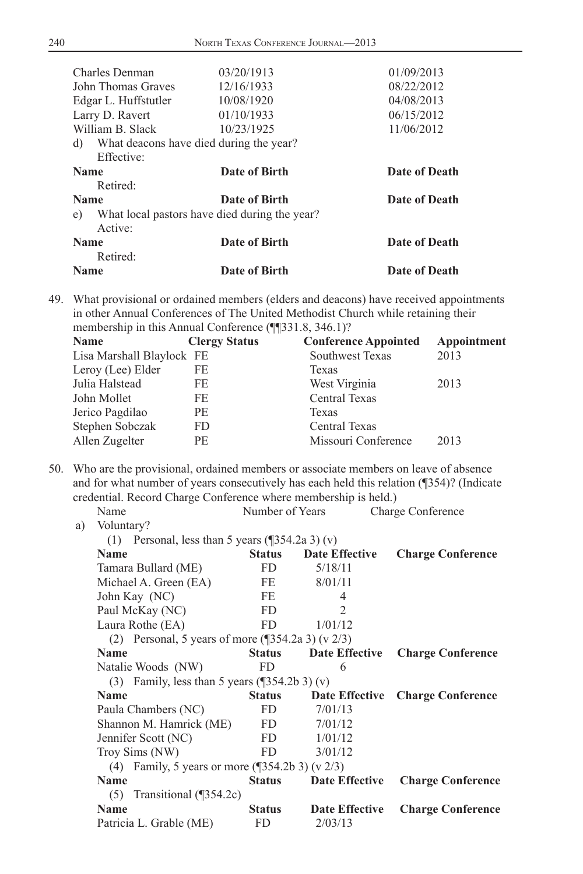| Charles Denman       | 03/20/1913                                    | 01/09/2013    |
|----------------------|-----------------------------------------------|---------------|
| John Thomas Graves   | 12/16/1933                                    | 08/22/2012    |
| Edgar L. Huffstutler | 10/08/1920                                    | 04/08/2013    |
|                      |                                               |               |
| Larry D. Ravert      | 01/10/1933                                    | 06/15/2012    |
| William B. Slack     | 10/23/1925                                    | 11/06/2012    |
| d)                   | What deacons have died during the year?       |               |
| Effective:           |                                               |               |
| <b>Name</b>          | Date of Birth                                 | Date of Death |
| Retired:             |                                               |               |
| <b>Name</b>          | Date of Birth                                 | Date of Death |
| e)                   | What local pastors have died during the year? |               |
| Active:              |                                               |               |
| <b>Name</b>          | Date of Birth                                 | Date of Death |
| Retired:             |                                               |               |
| <b>Name</b>          | Date of Birth                                 | Date of Death |

49. What provisional or ordained members (elders and deacons) have received appointments in other Annual Conferences of The United Methodist Church while retaining their membership in this Annual Conference (¶¶331.8, 346.1)?

| <b>Name</b>               | <b>Clergy Status</b> | <b>Conference Appointed</b> | Appointment |
|---------------------------|----------------------|-----------------------------|-------------|
| Lisa Marshall Blaylock FE |                      | Southwest Texas             | 2013        |
| Leroy (Lee) Elder         | FE                   | Texas                       |             |
| Julia Halstead            | FE                   | West Virginia               | 2013        |
| John Mollet               | FE                   | Central Texas               |             |
| Jerico Pagdilao           | PE.                  | Texas                       |             |
| Stephen Sobczak           | FD.                  | <b>Central Texas</b>        |             |
| Allen Zugelter            | <b>PE</b>            | Missouri Conference         | 2013        |
|                           |                      |                             |             |

50. Who are the provisional, ordained members or associate members on leave of absence and for what number of years consecutively has each held this relation (¶354)? (Indicate credential. Record Charge Conference where membership is held.)

|    | Name                                                            | Number of Years |                               | Charge Conference        |
|----|-----------------------------------------------------------------|-----------------|-------------------------------|--------------------------|
| a) | Voluntary?                                                      |                 |                               |                          |
|    | (1) Personal, less than 5 years $(\sqrt{\frac{354.2a}{3}})$ (v) |                 |                               |                          |
|    | <b>Name</b>                                                     | <b>Status</b>   | <b>Date Effective</b>         | <b>Charge Conference</b> |
|    | Tamara Bullard (ME)                                             | FD              | 5/18/11                       |                          |
|    | Michael A. Green (EA)                                           | FE              | 8/01/11                       |                          |
|    | John Kay (NC)                                                   | FE              | 4                             |                          |
|    | Paul McKay (NC)                                                 | FD.             | $\mathfrak{D}_{\mathfrak{p}}$ |                          |
|    | Laura Rothe (EA)                                                | FD              | 1/01/12                       |                          |
|    | (2) Personal, 5 years of more $(\sqrt{354.2a} \cdot 3)$ (v 2/3) |                 |                               |                          |
|    | <b>Name</b>                                                     | <b>Status</b>   | Date Effective                | <b>Charge Conference</b> |
|    | Natalie Woods (NW)                                              | FD              | 6                             |                          |
|    | (3) Family, less than 5 years $(\sqrt{354.2b} \cdot 3)$ (v)     |                 |                               |                          |
|    | <b>Name</b>                                                     | <b>Status</b>   | Date Effective                | <b>Charge Conference</b> |
|    | Paula Chambers (NC)                                             | FD.             | 7/01/13                       |                          |
|    | Shannon M. Hamrick (ME)                                         | FD              | 7/01/12                       |                          |
|    | Jennifer Scott (NC)                                             | FD -            | 1/01/12                       |                          |
|    | Troy Sims (NW)                                                  | FD.             | 3/01/12                       |                          |
|    | (4) Family, 5 years or more (1354.2b 3) (v $2/3$ )              |                 |                               |                          |
|    | <b>Name</b>                                                     | <b>Status</b>   | Date Effective                | <b>Charge Conference</b> |
|    | $(5)$ Transitional (¶354.2c)                                    |                 |                               |                          |
|    | <b>Name</b>                                                     | <b>Status</b>   | Date Effective                | <b>Charge Conference</b> |
|    | Patricia L. Grable (ME)                                         | FD              | 2/03/13                       |                          |
|    |                                                                 |                 |                               |                          |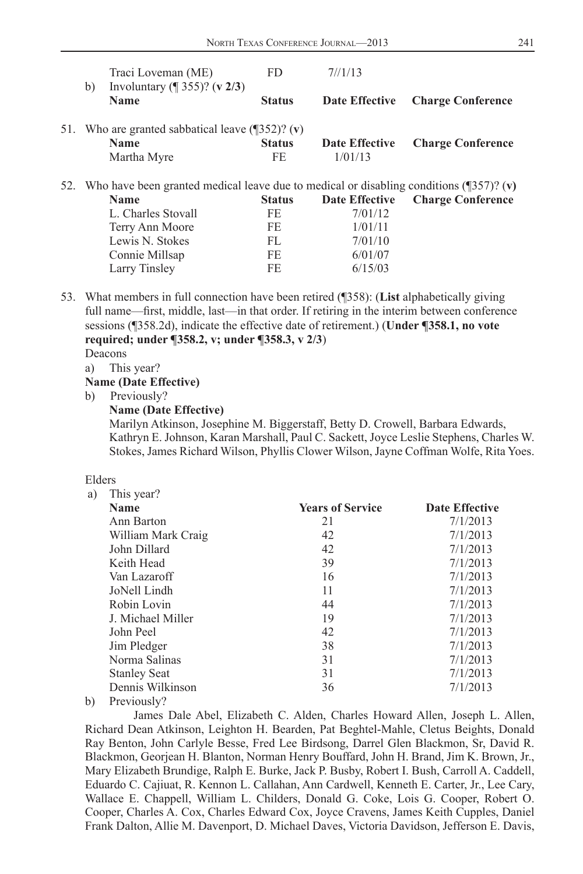| Traci Loveman (ME)                                                                                   | FD.           | 7/1/13                |                          |
|------------------------------------------------------------------------------------------------------|---------------|-----------------------|--------------------------|
| Involuntary ( $\sqrt{ }$ 355)? (v 2/3)<br>b)<br>Name                                                 | <b>Status</b> | Date Effective        | <b>Charge Conference</b> |
| 51. Who are granted sabbatical leave $(\sqrt{352})$ ? (v)                                            |               |                       |                          |
| Name                                                                                                 | <b>Status</b> | <b>Date Effective</b> | <b>Charge Conference</b> |
| Martha Myre                                                                                          | FE            | 1/01/13               |                          |
| 52. Who have been granted medical leave due to medical or disabling conditions ( $\sqrt{357}$ )? (v) |               |                       |                          |
| <b>Name</b>                                                                                          | <b>Status</b> | <b>Date Effective</b> | <b>Charge Conference</b> |
| L. Charles Stovall                                                                                   | FE.           | 7/01/12               |                          |
| Terry Ann Moore                                                                                      | FE.           | 1/01/11               |                          |
| Lewis N. Stokes                                                                                      | FL            | 7/01/10               |                          |
| Connie Millsap                                                                                       | FE            | 6/01/07               |                          |
| Larry Tinsley                                                                                        | <b>FE</b>     | 6/15/03               |                          |

 53. What members in full connection have been retired (¶358): (**List** alphabetically giving full name—first, middle, last—in that order. If retiring in the interim between conference sessions (¶358.2d), indicate the effective date of retirement.) (**Under ¶358.1, no vote required; under ¶358.2, v; under ¶358.3, v 2/3**)

Deacons

a) This year?

#### **Name (Date Effective)**

- b) Previously?
	- **Name (Date Effective)**

 Marilyn Atkinson, Josephine M. Biggerstaff, Betty D. Crowell, Barbara Edwards, Kathryn E. Johnson, Karan Marshall, Paul C. Sackett, Joyce Leslie Stephens, Charles W. Stokes, James Richard Wilson, Phyllis Clower Wilson, Jayne Coffman Wolfe, Rita Yoes.

#### Elders

| a)     | This year?          |                         |                       |
|--------|---------------------|-------------------------|-----------------------|
|        | Name                | <b>Years of Service</b> | <b>Date Effective</b> |
|        | Ann Barton          | 21                      | 7/1/2013              |
|        | William Mark Craig  | 42                      | 7/1/2013              |
|        | John Dillard        | 42                      | 7/1/2013              |
|        | Keith Head          | 39                      | 7/1/2013              |
|        | Van Lazaroff        | 16                      | 7/1/2013              |
|        | JoNell Lindh        | 11                      | 7/1/2013              |
|        | Robin Lovin         | 44                      | 7/1/2013              |
|        | J. Michael Miller   | 19                      | 7/1/2013              |
|        | John Peel           | 42                      | 7/1/2013              |
|        | Jim Pledger         | 38                      | 7/1/2013              |
|        | Norma Salinas       | 31                      | 7/1/2013              |
|        | <b>Stanley Seat</b> | 31                      | 7/1/2013              |
|        | Dennis Wilkinson    | 36                      | 7/1/2013              |
| $\sim$ | $n \cdot 10$        |                         |                       |

b) Previously?

 James Dale Abel, Elizabeth C. Alden, Charles Howard Allen, Joseph L. Allen, Richard Dean Atkinson, Leighton H. Bearden, Pat Beghtel-Mahle, Cletus Beights, Donald Ray Benton, John Carlyle Besse, Fred Lee Birdsong, Darrel Glen Blackmon, Sr, David R. Blackmon, Georjean H. Blanton, Norman Henry Bouffard, John H. Brand, Jim K. Brown, Jr., Mary Elizabeth Brundige, Ralph E. Burke, Jack P. Busby, Robert I. Bush, Carroll A. Caddell, Eduardo C. Cajiuat, R. Kennon L. Callahan, Ann Cardwell, Kenneth E. Carter, Jr., Lee Cary, Wallace E. Chappell, William L. Childers, Donald G. Coke, Lois G. Cooper, Robert O. Cooper, Charles A. Cox, Charles Edward Cox, Joyce Cravens, James Keith Cupples, Daniel Frank Dalton, Allie M. Davenport, D. Michael Daves, Victoria Davidson, Jefferson E. Davis,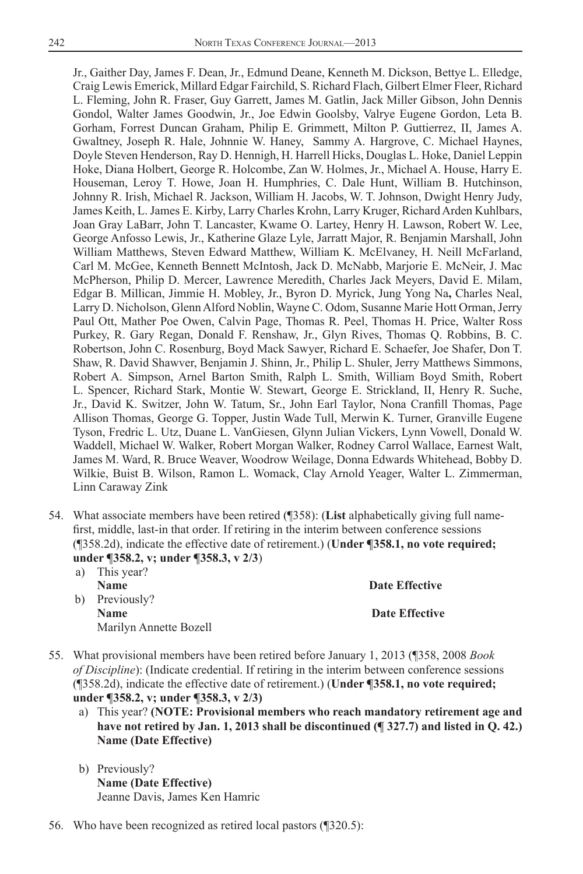Jr., Gaither Day, James F. Dean, Jr., Edmund Deane, Kenneth M. Dickson, Bettye L. Elledge, Craig Lewis Emerick, Millard Edgar Fairchild, S. Richard Flach, Gilbert Elmer Fleer, Richard L. Fleming, John R. Fraser, Guy Garrett, James M. Gatlin, Jack Miller Gibson, John Dennis Gondol, Walter James Goodwin, Jr., Joe Edwin Goolsby, Valrye Eugene Gordon, Leta B. Gorham, Forrest Duncan Graham, Philip E. Grimmett, Milton P. Guttierrez, II, James A. Gwaltney, Joseph R. Hale, Johnnie W. Haney, Sammy A. Hargrove, C. Michael Haynes, Doyle Steven Henderson, Ray D. Hennigh, H. Harrell Hicks, Douglas L. Hoke, Daniel Leppin Hoke, Diana Holbert, George R. Holcombe, Zan W. Holmes, Jr., Michael A. House, Harry E. Houseman, Leroy T. Howe, Joan H. Humphries, C. Dale Hunt, William B. Hutchinson, Johnny R. Irish, Michael R. Jackson, William H. Jacobs, W. T. Johnson, Dwight Henry Judy, James Keith, L. James E. Kirby, Larry Charles Krohn, Larry Kruger, Richard Arden Kuhlbars, Joan Gray LaBarr, John T. Lancaster, Kwame O. Lartey, Henry H. Lawson, Robert W. Lee, George Anfosso Lewis, Jr., Katherine Glaze Lyle, Jarratt Major, R. Benjamin Marshall, John William Matthews, Steven Edward Matthew, William K. McElvaney, H. Neill McFarland, Carl M. McGee, Kenneth Bennett McIntosh, Jack D. McNabb, Marjorie E. McNeir, J. Mac McPherson, Philip D. Mercer, Lawrence Meredith, Charles Jack Meyers, David E. Milam, Edgar B. Millican, Jimmie H. Mobley, Jr., Byron D. Myrick, Jung Yong Na**,** Charles Neal, Larry D. Nicholson, Glenn Alford Noblin, Wayne C. Odom, Susanne Marie Hott Orman, Jerry Paul Ott, Mather Poe Owen, Calvin Page, Thomas R. Peel, Thomas H. Price, Walter Ross Purkey, R. Gary Regan, Donald F. Renshaw, Jr., Glyn Rives, Thomas Q. Robbins, B. C. Robertson, John C. Rosenburg, Boyd Mack Sawyer, Richard E. Schaefer, Joe Shafer, Don T. Shaw, R. David Shawver, Benjamin J. Shinn, Jr., Philip L. Shuler, Jerry Matthews Simmons, Robert A. Simpson, Arnel Barton Smith, Ralph L. Smith, William Boyd Smith, Robert L. Spencer, Richard Stark, Montie W. Stewart, George E. Strickland, II, Henry R. Suche, Jr., David K. Switzer, John W. Tatum, Sr., John Earl Taylor, Nona Cranfill Thomas, Page Allison Thomas, George G. Topper, Justin Wade Tull, Merwin K. Turner, Granville Eugene Tyson, Fredric L. Utz, Duane L. VanGiesen, Glynn Julian Vickers, Lynn Vowell, Donald W. Waddell, Michael W. Walker, Robert Morgan Walker, Rodney Carrol Wallace, Earnest Walt, James M. Ward, R. Bruce Weaver, Woodrow Weilage, Donna Edwards Whitehead, Bobby D. Wilkie, Buist B. Wilson, Ramon L. Womack, Clay Arnold Yeager, Walter L. Zimmerman, Linn Caraway Zink

- 54. What associate members have been retired (¶358): (**List** alphabetically giving full namefirst, middle, last-in that order. If retiring in the interim between conference sessions (¶358.2d), indicate the effective date of retirement.) (**Under ¶358.1, no vote required; under ¶358.2, v; under ¶358.3, v 2/3**)
	- a) This year? **Name** Date Effective b) Previously? **Name** Date Effective Marilyn Annette Bozell
- 55. What provisional members have been retired before January 1, 2013 (¶358, 2008 *Book of Discipline*): (Indicate credential. If retiring in the interim between conference sessions (¶358.2d), indicate the effective date of retirement.) (**Under ¶358.1, no vote required; under ¶358.2, v; under ¶358.3, v 2/3)** 
	- a) This year? **(NOTE: Provisional members who reach mandatory retirement age and have not retired by Jan. 1, 2013 shall be discontinued (¶ 327.7) and listed in Q. 42.) Name (Date Effective)**
	- b) Previously? **Name (Date Effective)** Jeanne Davis, James Ken Hamric
- 56. Who have been recognized as retired local pastors (¶320.5):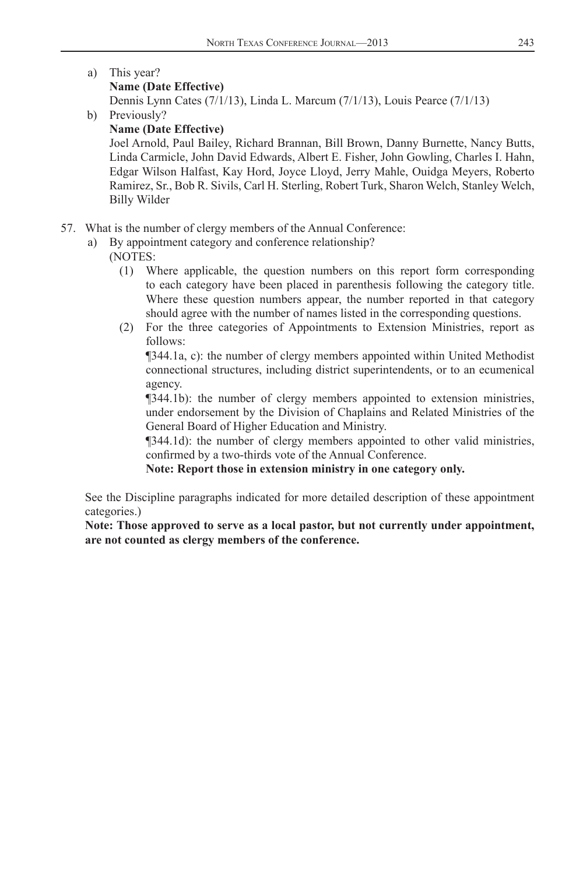a) This year?

#### **Name (Date Effective)**

Dennis Lynn Cates (7/1/13), Linda L. Marcum (7/1/13), Louis Pearce (7/1/13)

b) Previously?

#### **Name (Date Effective)**

Joel Arnold, Paul Bailey, Richard Brannan, Bill Brown, Danny Burnette, Nancy Butts, Linda Carmicle, John David Edwards, Albert E. Fisher, John Gowling, Charles I. Hahn, Edgar Wilson Halfast, Kay Hord, Joyce Lloyd, Jerry Mahle, Ouidga Meyers, Roberto Ramirez, Sr., Bob R. Sivils, Carl H. Sterling, Robert Turk, Sharon Welch, Stanley Welch, Billy Wilder

- 57. What is the number of clergy members of the Annual Conference:
	- a) By appointment category and conference relationship?

### (NOTES:

- (1) Where applicable, the question numbers on this report form corresponding to each category have been placed in parenthesis following the category title. Where these question numbers appear, the number reported in that category should agree with the number of names listed in the corresponding questions.
- (2) For the three categories of Appointments to Extension Ministries, report as follows:

 ¶344.1a, c): the number of clergy members appointed within United Methodist connectional structures, including district superintendents, or to an ecumenical agency.

 ¶344.1b): the number of clergy members appointed to extension ministries, under endorsement by the Division of Chaplains and Related Ministries of the General Board of Higher Education and Ministry.

 ¶344.1d): the number of clergy members appointed to other valid ministries, confirmed by a two-thirds vote of the Annual Conference.

 **Note: Report those in extension ministry in one category only.**

 See the Discipline paragraphs indicated for more detailed description of these appointment categories.)

 **Note: Those approved to serve as a local pastor, but not currently under appointment, are not counted as clergy members of the conference.**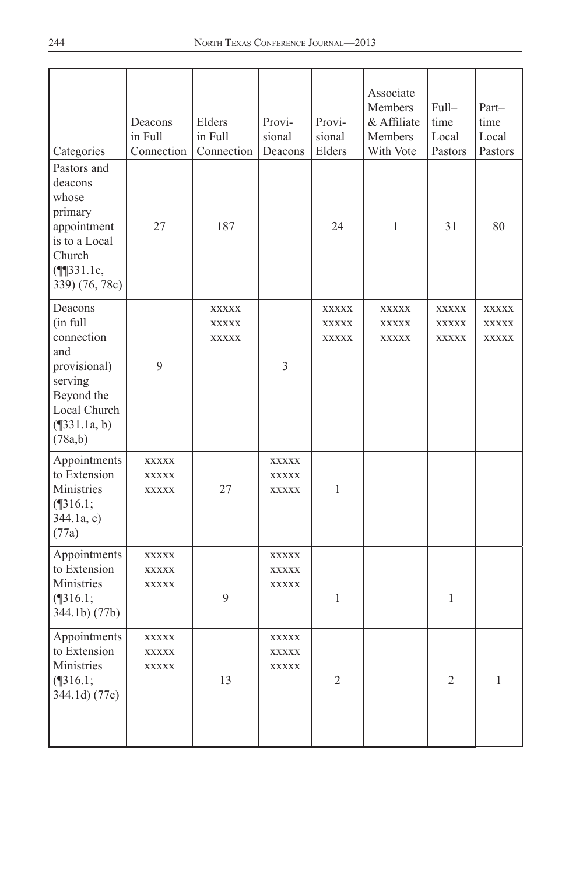| Categories                                                                                                                       | Deacons<br>in Full<br>Connection             | Elders<br>in Full<br>Connection       | Provi-<br>sional<br>Deacons                  | Provi-<br>sional<br>Elders                   | Associate<br>Members<br>& Affiliate<br><b>Members</b><br>With Vote | Full-<br>time<br>Local<br>Pastors | Part-<br>time<br>Local<br>Pastors |
|----------------------------------------------------------------------------------------------------------------------------------|----------------------------------------------|---------------------------------------|----------------------------------------------|----------------------------------------------|--------------------------------------------------------------------|-----------------------------------|-----------------------------------|
| Pastors and<br>deacons<br>whose<br>primary<br>appointment<br>is to a Local<br>Church<br>$($ ¶ $331.1c,$<br>339) (76, 78c)        | 27                                           | 187                                   |                                              | 24                                           | 1                                                                  | 31                                | 80                                |
| Deacons<br>(in full<br>connection<br>and<br>provisional)<br>serving<br>Beyond the<br>Local Church<br>$(\P$ 331.1a, b)<br>(78a,b) | 9                                            | <b>XXXXX</b><br>XXXXX<br><b>XXXXX</b> | 3                                            | <b>XXXXX</b><br><b>XXXXX</b><br><b>XXXXX</b> | <b>XXXXX</b><br>XXXXX<br><b>XXXXX</b>                              | XXXXX<br>XXXXX<br>XXXXX           | <b>XXXXX</b><br>XXXXX<br>XXXXX    |
| Appointments<br>to Extension<br>Ministries<br>$($ [316.1;<br>344.1a, c)<br>(77a)                                                 | XXXXX<br><b>XXXXX</b><br><b>XXXXX</b>        | 27                                    | <b>XXXXX</b><br><b>XXXXX</b><br><b>XXXXX</b> | 1                                            |                                                                    |                                   |                                   |
| Appointments<br>to Extension<br>Ministries<br>$($ [316.1;<br>344.1b) (77b)                                                       | <b>XXXXX</b><br><b>XXXXX</b><br><b>XXXXX</b> | 9                                     | <b>XXXXX</b><br><b>XXXXX</b><br><b>XXXXX</b> | 1                                            |                                                                    | 1                                 |                                   |
| Appointments<br>to Extension<br>Ministries<br>$($ [316.1;<br>344.1d) (77c)                                                       | <b>XXXXX</b><br><b>XXXXX</b><br><b>XXXXX</b> | 13                                    | XXXXX<br><b>XXXXX</b><br><b>XXXXX</b>        | $\overline{2}$                               |                                                                    | $\overline{2}$                    | 1                                 |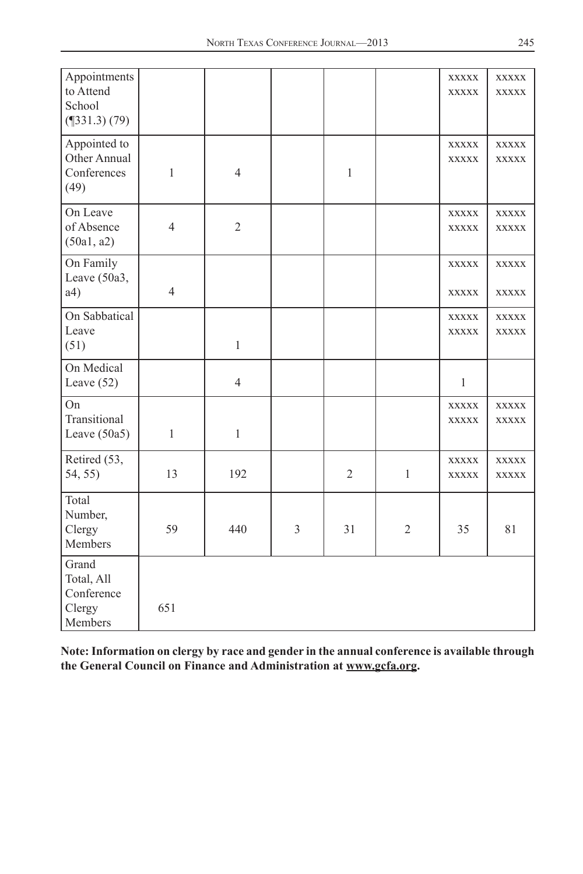| Appointments<br>to Attend<br>School<br>(9331.3) (79)   |                |                |   |                |                | XXXXX<br><b>XXXXX</b>        | <b>XXXXX</b><br><b>XXXXX</b> |
|--------------------------------------------------------|----------------|----------------|---|----------------|----------------|------------------------------|------------------------------|
| Appointed to<br>Other Annual<br>Conferences<br>(49)    | $\mathbf{1}$   | $\overline{4}$ |   | $\,1$          |                | XXXXX<br><b>XXXXX</b>        | XXXXX<br><b>XXXXX</b>        |
| On Leave<br>of Absence<br>(50a1, a2)                   | $\overline{4}$ | $\mathfrak{2}$ |   |                |                | <b>XXXXX</b><br><b>XXXXX</b> | <b>XXXXX</b><br><b>XXXXX</b> |
| On Family<br>Leave (50a3,<br>a4)                       | $\overline{4}$ |                |   |                |                | <b>XXXXX</b><br><b>XXXXX</b> | <b>XXXXX</b><br><b>XXXXX</b> |
| On Sabbatical<br>Leave<br>(51)                         |                | 1              |   |                |                | <b>XXXXX</b><br><b>XXXXX</b> | <b>XXXXX</b><br>XXXXX        |
| On Medical<br>Leave $(52)$                             |                | $\overline{4}$ |   |                |                | $\mathbf{1}$                 |                              |
| On<br>Transitional<br>Leave $(50a5)$                   | $\mathbf{1}$   | $\mathbf{1}$   |   |                |                | <b>XXXXX</b><br><b>XXXXX</b> | XXXXX<br><b>XXXXX</b>        |
| Retired (53,<br>54, 55)                                | 13             | 192            |   | $\overline{2}$ | $\mathbf{1}$   | <b>XXXXX</b><br><b>XXXXX</b> | <b>XXXXX</b><br><b>XXXXX</b> |
| Total<br>Number,<br>Clergy<br>Members                  | 59             | 440            | 3 | 31             | $\overline{2}$ | 35                           | 81                           |
| Grand<br>Total, All<br>Conference<br>Clergy<br>Members | 651            |                |   |                |                |                              |                              |

**Note: Information on clergy by race and gender in the annual conference is available through the General Council on Finance and Administration at www.gcfa.org.**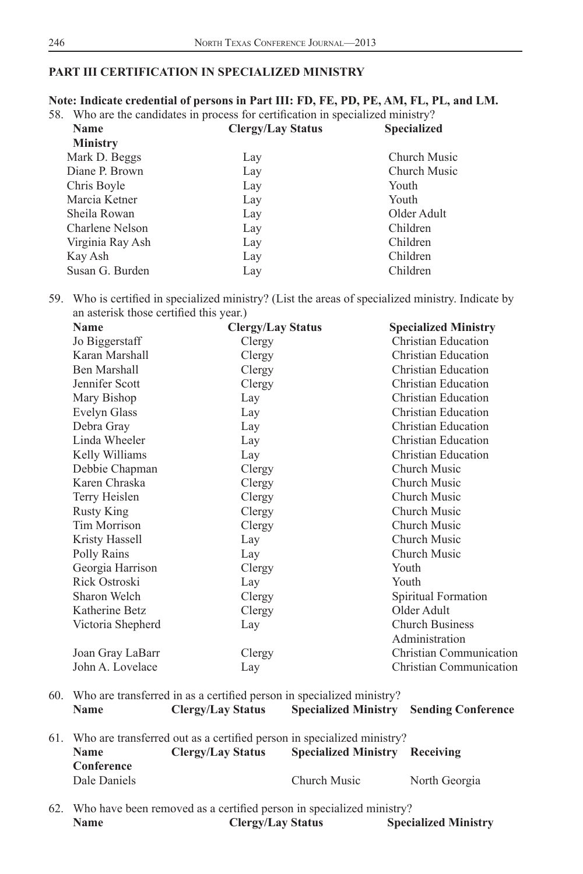### **PART III CERTIFICATION IN SPECIALIZED MINISTRY**

## **Note: Indicate credential of persons in Part III: FD, FE, PD, PE, AM, FL, PL, and LM.**

58. Who are the candidates in process for certification in specialized ministry?

| <b>Name</b>      | <b>Clergy/Lay Status</b> | <b>Specialized</b> |
|------------------|--------------------------|--------------------|
| <b>Ministry</b>  |                          |                    |
| Mark D. Beggs    | Lay                      | Church Music       |
| Diane P. Brown   | Lay                      | Church Music       |
| Chris Boyle      | Lay                      | Youth              |
| Marcia Ketner    | Lay                      | Youth              |
| Sheila Rowan     | Lay                      | Older Adult        |
| Charlene Nelson  | Lay                      | Children           |
| Virginia Ray Ash | Lay                      | Children           |
| Kay Ash          | Lay                      | Children           |
| Susan G. Burden  | Lay                      | Children           |
|                  |                          |                    |

59. Who is certified in specialized ministry? (List the areas of specialized ministry. Indicate by an asterisk those certified this year.)

| <b>Name</b>         | <b>Clergy/Lay Status</b> | <b>Specialized Ministry</b> |
|---------------------|--------------------------|-----------------------------|
| Jo Biggerstaff      | Clergy                   | Christian Education         |
| Karan Marshall      | Clergy                   | Christian Education         |
| Ben Marshall        | Clergy                   | <b>Christian Education</b>  |
| Jennifer Scott      | Clergy                   | Christian Education         |
| Mary Bishop         | Lay                      | Christian Education         |
| Evelyn Glass        | Lay                      | Christian Education         |
| Debra Gray          | Lay                      | <b>Christian Education</b>  |
| Linda Wheeler       | Lay                      | Christian Education         |
| Kelly Williams      | Lay                      | Christian Education         |
| Debbie Chapman      | Clergy                   | Church Music                |
| Karen Chraska       | Clergy                   | Church Music                |
| Terry Heislen       | Clergy                   | Church Music                |
| <b>Rusty King</b>   | Clergy                   | Church Music                |
| <b>Tim Morrison</b> | Clergy                   | Church Music                |
| Kristy Hassell      | Lay                      | Church Music                |
| Polly Rains         | Lay                      | Church Music                |
| Georgia Harrison    | Clergy                   | Youth                       |
| Rick Ostroski       | Lay                      | Youth                       |
| Sharon Welch        | Clergy                   | Spiritual Formation         |
| Katherine Betz      | Clergy                   | Older Adult                 |
| Victoria Shepherd   | Lay                      | <b>Church Business</b>      |
|                     |                          | Administration              |
| Joan Gray LaBarr    | Clergy                   | Christian Communication     |
| John A. Lovelace    | Lay                      | Christian Communication     |
|                     |                          |                             |

60. Who are transferred in as a certified person in specialized ministry? **Name Clergy/Lay Status Specialized Ministry Sending Conference**

- 61. Who are transferred out as a certified person in specialized ministry? **Name Clergy/Lay Status Specialized Ministry Receiving Conference Dale Daniels** Church Music North Georgia
- 62. Who have been removed as a certified person in specialized ministry? **Name Clergy/Lay Status Specialized Ministry**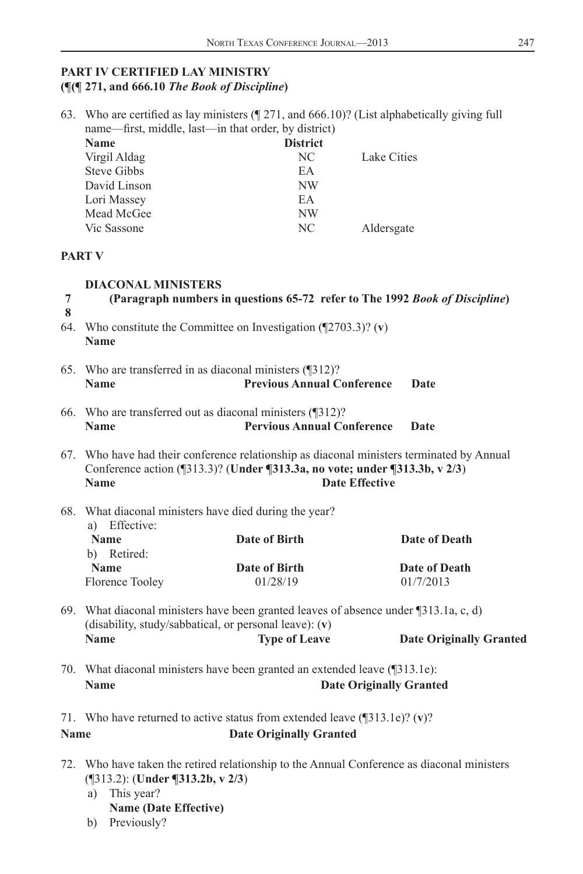63. Who are certified as lay ministers  $($  [271, and 666.10)? (List alphabetically giving full

#### **PART IV CERTIFIED LAY MINISTRY (¶(¶ 271, and 666.10** *The Book of Discipline***)**

name—first, middle, last—in that order, by district)

|                                                                                                                                                | <b>Name</b>                                                                                                                                                                                              | <b>District</b>                |                                                                                            |  |  |  |
|------------------------------------------------------------------------------------------------------------------------------------------------|----------------------------------------------------------------------------------------------------------------------------------------------------------------------------------------------------------|--------------------------------|--------------------------------------------------------------------------------------------|--|--|--|
|                                                                                                                                                | Virgil Aldag                                                                                                                                                                                             | NC.                            | Lake Cities                                                                                |  |  |  |
|                                                                                                                                                | <b>Steve Gibbs</b>                                                                                                                                                                                       | EA                             |                                                                                            |  |  |  |
|                                                                                                                                                | David Linson                                                                                                                                                                                             | <b>NW</b>                      |                                                                                            |  |  |  |
|                                                                                                                                                | Lori Massey                                                                                                                                                                                              | EA                             |                                                                                            |  |  |  |
|                                                                                                                                                | Mead McGee                                                                                                                                                                                               | NW                             |                                                                                            |  |  |  |
|                                                                                                                                                | Vic Sassone                                                                                                                                                                                              | NC.                            | Aldersgate                                                                                 |  |  |  |
|                                                                                                                                                | <b>PART V</b>                                                                                                                                                                                            |                                |                                                                                            |  |  |  |
| 7<br>8                                                                                                                                         | <b>DIACONAL MINISTERS</b>                                                                                                                                                                                |                                | (Paragraph numbers in questions 65-72 refer to The 1992 Book of Discipline)                |  |  |  |
|                                                                                                                                                | 64. Who constitute the Committee on Investigation ( $\sqrt{2703.3}$ )? (v)<br><b>Name</b>                                                                                                                |                                |                                                                                            |  |  |  |
|                                                                                                                                                | 65. Who are transferred in as diaconal ministers (¶312)?<br><b>Previous Annual Conference</b><br><b>Name</b><br>Date                                                                                     |                                |                                                                                            |  |  |  |
|                                                                                                                                                | 66. Who are transferred out as diaconal ministers (¶312)?<br><b>Pervious Annual Conference</b><br><b>Name</b><br>Date                                                                                    |                                |                                                                                            |  |  |  |
|                                                                                                                                                | 67. Who have had their conference relationship as diaconal ministers terminated by Annual<br>Conference action (¶313.3)? (Under ¶313.3a, no vote; under ¶313.3b, v 2/3)<br>Name<br><b>Date Effective</b> |                                |                                                                                            |  |  |  |
|                                                                                                                                                | 68. What diaconal ministers have died during the year?<br>a) Effective:                                                                                                                                  |                                |                                                                                            |  |  |  |
|                                                                                                                                                | <b>Name</b><br>b) Retired:                                                                                                                                                                               | Date of Birth                  | Date of Death                                                                              |  |  |  |
|                                                                                                                                                | <b>Name</b>                                                                                                                                                                                              | Date of Birth                  | <b>Date of Death</b>                                                                       |  |  |  |
|                                                                                                                                                | Florence Tooley                                                                                                                                                                                          | 01/28/19                       | 01/7/2013                                                                                  |  |  |  |
| 69. What diaconal ministers have been granted leaves of absence under ¶313.1a, c, d)<br>(disability, study/sabbatical, or personal leave): (v) |                                                                                                                                                                                                          |                                |                                                                                            |  |  |  |
|                                                                                                                                                | <b>Name</b>                                                                                                                                                                                              | <b>Type of Leave</b>           | <b>Date Originally Granted</b>                                                             |  |  |  |
|                                                                                                                                                | 70. What diaconal ministers have been granted an extended leave (¶313.1e):                                                                                                                               |                                |                                                                                            |  |  |  |
|                                                                                                                                                | <b>Name</b><br><b>Date Originally Granted</b>                                                                                                                                                            |                                |                                                                                            |  |  |  |
|                                                                                                                                                | 71. Who have returned to active status from extended leave $(\sqrt{313.1e})$ ? (v)?                                                                                                                      |                                |                                                                                            |  |  |  |
| <b>Name</b>                                                                                                                                    |                                                                                                                                                                                                          | <b>Date Originally Granted</b> |                                                                                            |  |  |  |
|                                                                                                                                                |                                                                                                                                                                                                          |                                | 72. Who have taken the retired relationship to the Annual Conference as diaconal ministers |  |  |  |

- (¶313.2): (**Under ¶313.2b, v 2/3**)
- a) This year?
	- **Name (Date Effective)**
- b) Previously?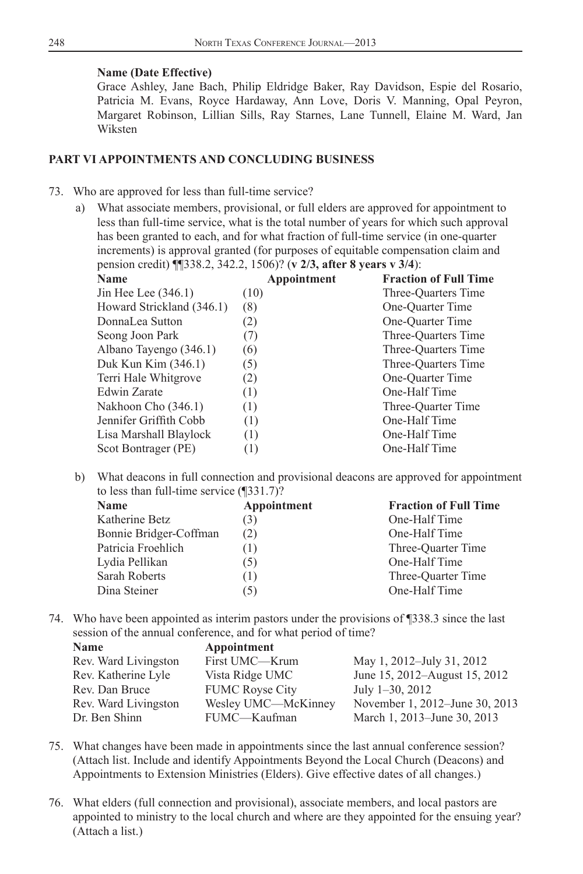#### **Name (Date Effective)**

 Grace Ashley, Jane Bach, Philip Eldridge Baker, Ray Davidson, Espie del Rosario, Patricia M. Evans, Royce Hardaway, Ann Love, Doris V. Manning, Opal Peyron, Margaret Robinson, Lillian Sills, Ray Starnes, Lane Tunnell, Elaine M. Ward, Jan Wiksten

#### **PART VI APPOINTMENTS AND CONCLUDING BUSINESS**

#### 73. Who are approved for less than full-time service?

 a) What associate members, provisional, or full elders are approved for appointment to less than full-time service, what is the total number of years for which such approval has been granted to each, and for what fraction of full-time service (in one-quarter increments) is approval granted (for purposes of equitable compensation claim and pension credit) ¶¶338.2, 342.2, 1506)? (**v 2/3, after 8 years v 3/4**):

| .<br><b>Name</b>          | Appointment      | <b>Fraction of Full Time</b> |
|---------------------------|------------------|------------------------------|
| Jin Hee Lee $(346.1)$     | (10)             | Three-Quarters Time          |
| Howard Strickland (346.1) | (8)              | One-Ouarter Time             |
| DonnaLea Sutton           | (2)              | One-Ouarter Time             |
| Seong Joon Park           | (7)              | Three-Quarters Time          |
| Albano Tayengo (346.1)    | (6)              | Three-Ouarters Time          |
| Duk Kun Kim (346.1)       | (5)              | Three-Quarters Time          |
| Terri Hale Whitgrove      | (2)              | One-Ouarter Time             |
| <b>Edwin Zarate</b>       | (1)              | One-Half Time                |
| Nakhoon Cho (346.1)       | (1)              | Three-Ouarter Time           |
| Jennifer Griffith Cobb    | (1)              | One-Half Time                |
| Lisa Marshall Blaylock    | (1)              | One-Half Time                |
| Scot Bontrager (PE)       | $\left(1\right)$ | One-Half Time                |
|                           |                  |                              |

 b) What deacons in full connection and provisional deacons are approved for appointment to less than full-time service (¶331.7)?

| <b>Name</b>            | Appointment | <b>Fraction of Full Time</b> |
|------------------------|-------------|------------------------------|
| Katherine Betz         | (3)         | One-Half Time                |
| Bonnie Bridger-Coffman | (2)         | One-Half Time                |
| Patricia Froehlich     | 1)          | Three-Quarter Time           |
| Lydia Pellikan         | (5)         | One-Half Time                |
| Sarah Roberts          | (1)         | Three-Ouarter Time           |
| Dina Steiner           | (5)         | One-Half Time                |
|                        |             |                              |

 74. Who have been appointed as interim pastors under the provisions of ¶338.3 since the last session of the annual conference, and for what period of time?

| Appointment            |                                |
|------------------------|--------------------------------|
| First UMC—Krum         | May 1, 2012-July 31, 2012      |
| Vista Ridge UMC        | June 15, 2012–August 15, 2012  |
| <b>FUMC Royse City</b> | July $1-30$ , $2012$           |
| Wesley UMC—McKinney    | November 1, 2012–June 30, 2013 |
| FUMC-Kaufman           | March 1, 2013–June 30, 2013    |
|                        |                                |

- 75. What changes have been made in appointments since the last annual conference session? (Attach list. Include and identify Appointments Beyond the Local Church (Deacons) and Appointments to Extension Ministries (Elders). Give effective dates of all changes.)
- 76. What elders (full connection and provisional), associate members, and local pastors are appointed to ministry to the local church and where are they appointed for the ensuing year? (Attach a list.)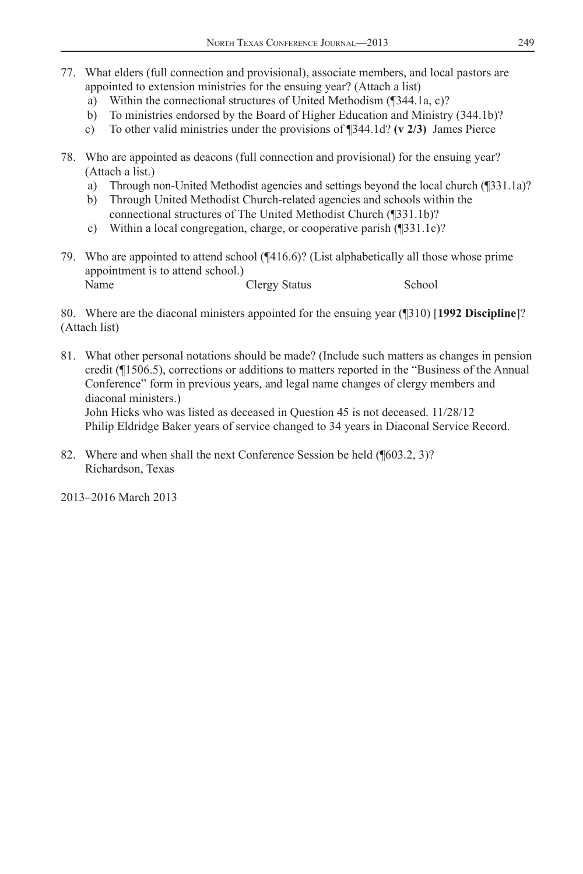- 77. What elders (full connection and provisional), associate members, and local pastors are appointed to extension ministries for the ensuing year? (Attach a list)
	- a) Within the connectional structures of United Methodism (¶344.1a, c)?
	- b) To ministries endorsed by the Board of Higher Education and Ministry (344.1b)?
	- c) To other valid ministries under the provisions of ¶344.1d? **(v 2/3)** James Pierce
- 78. Who are appointed as deacons (full connection and provisional) for the ensuing year? (Attach a list.)
	- a) Through non-United Methodist agencies and settings beyond the local church (¶331.1a)?
	- b) Through United Methodist Church-related agencies and schools within the connectional structures of The United Methodist Church (¶331.1b)?
	- c) Within a local congregation, charge, or cooperative parish (¶331.1c)?
- 79. Who are appointed to attend school (¶416.6)? (List alphabetically all those whose prime appointment is to attend school.) Name Clergy Status School

 80. Where are the diaconal ministers appointed for the ensuing year (¶310) [**1992 Discipline**]? (Attach list)

 81. What other personal notations should be made? (Include such matters as changes in pension credit (¶1506.5), corrections or additions to matters reported in the "Business of the Annual Conference" form in previous years, and legal name changes of clergy members and diaconal ministers.) John Hicks who was listed as deceased in Question 45 is not deceased. 11/28/12

Philip Eldridge Baker years of service changed to 34 years in Diaconal Service Record.

 82. Where and when shall the next Conference Session be held (¶603.2, 3)? Richardson, Texas

2013–2016 March 2013